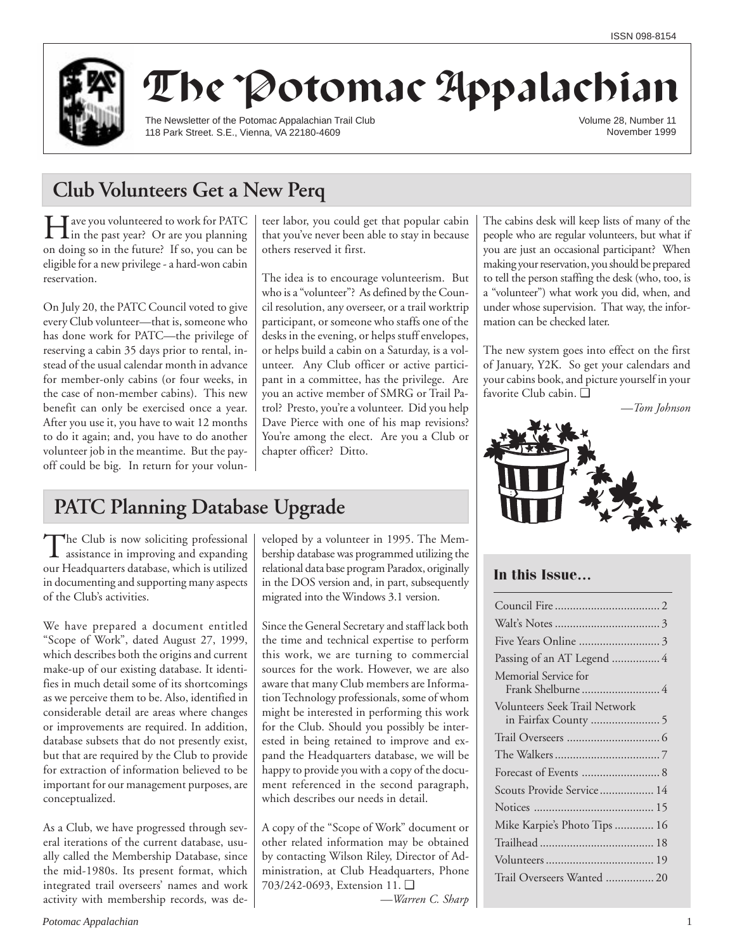

# The Potomac Appalachian

The Newsletter of the Potomac Appalachian Trail Club 118 Park Street. S.E., Vienna, VA 22180-4609

Volume 28, Number 11 November 1999

# **Club Volunteers Get a New Perq**

Have you volunteered to work for PATC in the past year? Or are you planning on doing so in the future? If so, you can be eligible for a new privilege - a hard-won cabin reservation.

On July 20, the PATC Council voted to give every Club volunteer—that is, someone who has done work for PATC—the privilege of reserving a cabin 35 days prior to rental, instead of the usual calendar month in advance for member-only cabins (or four weeks, in the case of non-member cabins). This new benefit can only be exercised once a year. After you use it, you have to wait 12 months to do it again; and, you have to do another volunteer job in the meantime. But the payoff could be big. In return for your volunteer labor, you could get that popular cabin that you've never been able to stay in because others reserved it first.

The idea is to encourage volunteerism. But who is a "volunteer"? As defined by the Council resolution, any overseer, or a trail worktrip participant, or someone who staffs one of the desks in the evening, or helps stuff envelopes, or helps build a cabin on a Saturday, is a volunteer. Any Club officer or active participant in a committee, has the privilege. Are you an active member of SMRG or Trail Patrol? Presto, you're a volunteer. Did you help Dave Pierce with one of his map revisions? You're among the elect. Are you a Club or chapter officer? Ditto.

The cabins desk will keep lists of many of the people who are regular volunteers, but what if you are just an occasional participant? When making your reservation, you should be prepared to tell the person staffing the desk (who, too, is a "volunteer") what work you did, when, and under whose supervision. That way, the information can be checked later.

The new system goes into effect on the first of January, Y2K. So get your calendars and your cabins book, and picture yourself in your favorite Club cabin. ❑

*—Tom Johnson*



## **In this Issue…**

# **PATC Planning Database Upgrade**

The Club is now soliciting professional<br>assistance in improving and expanding our Headquarters database, which is utilized in documenting and supporting many aspects of the Club's activities.

We have prepared a document entitled "Scope of Work", dated August 27, 1999, which describes both the origins and current make-up of our existing database. It identifies in much detail some of its shortcomings as we perceive them to be. Also, identified in considerable detail are areas where changes or improvements are required. In addition, database subsets that do not presently exist, but that are required by the Club to provide for extraction of information believed to be important for our management purposes, are conceptualized.

As a Club, we have progressed through several iterations of the current database, usually called the Membership Database, since the mid-1980s. Its present format, which integrated trail overseers' names and work activity with membership records, was developed by a volunteer in 1995. The Membership database was programmed utilizing the relational data base program Paradox, originally in the DOS version and, in part, subsequently migrated into the Windows 3.1 version.

Since the General Secretary and staff lack both the time and technical expertise to perform this work, we are turning to commercial sources for the work. However, we are also aware that many Club members are Information Technology professionals, some of whom might be interested in performing this work for the Club. Should you possibly be interested in being retained to improve and expand the Headquarters database, we will be happy to provide you with a copy of the document referenced in the second paragraph, which describes our needs in detail.

A copy of the "Scope of Work" document or other related information may be obtained by contacting Wilson Riley, Director of Administration, at Club Headquarters, Phone 703/242-0693, Extension 11. ❑

*—Warren C. Sharp*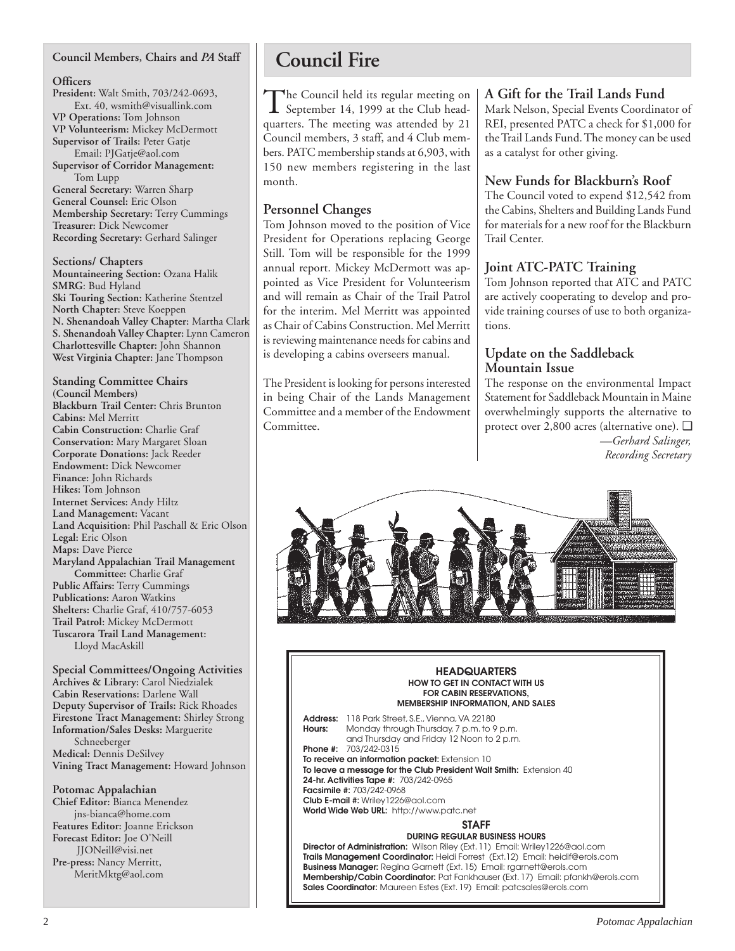## **Council Members, Chairs and** *PA* **Staff**

## **Officers**

**President:** Walt Smith, 703/242-0693, Ext. 40, wsmith@visuallink.com **VP Operations:** Tom Johnson **VP Volunteerism:** Mickey McDermott **Supervisor of Trails:** Peter Gatje Email: PJGatje@aol.com **Supervisor of Corridor Management:** Tom Lupp **General Secretary:** Warren Sharp

**General Counsel:** Eric Olson **Membership Secretary:** Terry Cummings **Treasurer:** Dick Newcomer **Recording Secretary:** Gerhard Salinger

**Sections/ Chapters Mountaineering Section:** Ozana Halik **SMRG**: Bud Hyland **Ski Touring Section:** Katherine Stentzel **North Chapter:** Steve Koeppen **N. Shenandoah Valley Chapter:** Martha Clark **S. Shenandoah Valley Chapter:** Lynn Cameron **Charlottesville Chapter:** John Shannon **West Virginia Chapter:** Jane Thompson

**Standing Committee Chairs (Council Members) Blackburn Trail Center:** Chris Brunton **Cabins:** Mel Merritt **Cabin Construction:** Charlie Graf **Conservation:** Mary Margaret Sloan **Corporate Donations:** Jack Reeder **Endowment:** Dick Newcomer **Finance:** John Richards **Hikes:** Tom Johnson **Internet Services:** Andy Hiltz **Land Management:** Vacant **Land Acquisition:** Phil Paschall & Eric Olson **Legal:** Eric Olson **Maps:** Dave Pierce **Maryland Appalachian Trail Management Committee:** Charlie Graf **Public Affairs:** Terry Cummings **Publications:** Aaron Watkins **Shelters:** Charlie Graf, 410/757-6053 **Trail Patrol:** Mickey McDermott **Tuscarora Trail Land Management:** Lloyd MacAskill

**Special Committees/Ongoing Activities Archives & Library:** Carol Niedzialek **Cabin Reservations:** Darlene Wall **Deputy Supervisor of Trails:** Rick Rhoades **Firestone Tract Management:** Shirley Strong **Information/Sales Desks:** Marguerite Schneeberger **Medical:** Dennis DeSilvey **Vining Tract Management:** Howard Johnson

**Potomac Appalachian Chief Editor:** Bianca Menendez jns-bianca@home.com **Features Editor:** Joanne Erickson **Forecast Editor:** Joe O'Neill JJONeill@visi.net **Pre-press:** Nancy Merritt, MeritMktg@aol.com

# **Council Fire**

The Council held its regular meeting on<br>September 14, 1999 at the Club headquarters. The meeting was attended by 21 Council members, 3 staff, and 4 Club members. PATC membership stands at 6,903, with 150 new members registering in the last month.

## **Personnel Changes**

Tom Johnson moved to the position of Vice President for Operations replacing George Still. Tom will be responsible for the 1999 annual report. Mickey McDermott was appointed as Vice President for Volunteerism and will remain as Chair of the Trail Patrol for the interim. Mel Merritt was appointed as Chair of Cabins Construction. Mel Merritt is reviewing maintenance needs for cabins and is developing a cabins overseers manual.

The President is looking for persons interested in being Chair of the Lands Management Committee and a member of the Endowment Committee.

## **A Gift for the Trail Lands Fund**

Mark Nelson, Special Events Coordinator of REI, presented PATC a check for \$1,000 for the Trail Lands Fund. The money can be used as a catalyst for other giving.

## **New Funds for Blackburn's Roof**

The Council voted to expend \$12,542 from the Cabins, Shelters and Building Lands Fund for materials for a new roof for the Blackburn Trail Center.

## **Joint ATC-PATC Training**

Tom Johnson reported that ATC and PATC are actively cooperating to develop and provide training courses of use to both organizations.

## **Update on the Saddleback Mountain Issue**

The response on the environmental Impact Statement for Saddleback Mountain in Maine overwhelmingly supports the alternative to protect over 2,800 acres (alternative one). ❑ *—Gerhard Salinger, Recording Secretary*



#### **HEADQUARTERS HOW TO GET IN CONTACT WITH US FOR CABIN RESERVATIONS, MEMBERSHIP INFORMATION, AND SALES**

**Address:** 118 Park Street, S.E., Vienna, VA 22180 **Hours:** Monday through Thursday, 7 p.m. to 9 p.m. and Thursday and Friday 12 Noon to 2 p.m. **Phone #:** 703/242-0315 **To receive an information packet:** Extension 10 **To leave a message for the Club President Walt Smith:** Extension 40 **24-hr. Activities Tape #:** 703/242-0965 **Facsimile #:** 703/242-0968 **Club E-mail #:** Wriley1226@aol.com **World Wide Web URL:** http://www.patc.net **STAFF DURING REGULAR BUSINESS HOURS Director of Administration:** Wilson Riley (Ext. 11) Email: Wriley1226@aol.com

**Trails Management Coordinator:** Heidi Forrest (Ext.12) Email: heidif@erols.com **Business Manager:** Regina Garnett (Ext. 15) Email: rgarnett@erols.com **Membership/Cabin Coordinator:** Pat Fankhauser (Ext. 17) Email: pfankh@erols.com **Sales Coordinator:** Maureen Estes (Ext. 19) Email: patcsales@erols.com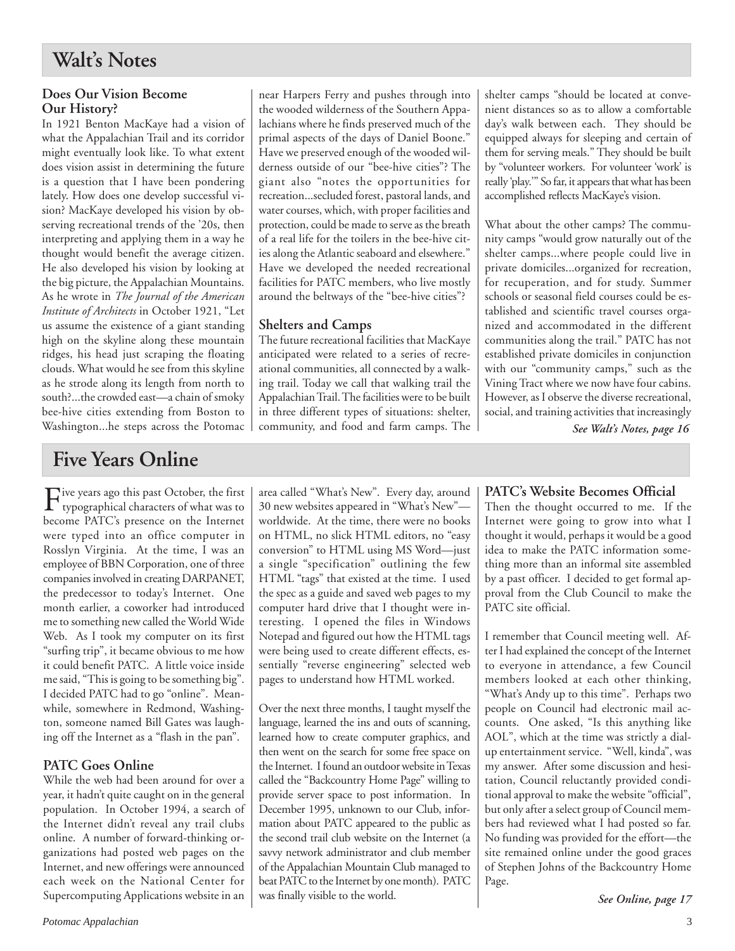## **Does Our Vision Become Our History?**

In 1921 Benton MacKaye had a vision of what the Appalachian Trail and its corridor might eventually look like. To what extent does vision assist in determining the future is a question that I have been pondering lately. How does one develop successful vision? MacKaye developed his vision by observing recreational trends of the '20s, then interpreting and applying them in a way he thought would benefit the average citizen. He also developed his vision by looking at the big picture, the Appalachian Mountains. As he wrote in *The Journal of the American Institute of Architects* in October 1921, "Let us assume the existence of a giant standing high on the skyline along these mountain ridges, his head just scraping the floating clouds. What would he see from this skyline as he strode along its length from north to south?...the crowded east—a chain of smoky bee-hive cities extending from Boston to Washington...he steps across the Potomac

# **Five Years Online**

Five years ago this past October, the first<br>typographical characters of what was to become PATC's presence on the Internet were typed into an office computer in Rosslyn Virginia. At the time, I was an employee of BBN Corporation, one of three companies involved in creating DARPANET, the predecessor to today's Internet. One month earlier, a coworker had introduced me to something new called the World Wide Web. As I took my computer on its first "surfing trip", it became obvious to me how it could benefit PATC. A little voice inside me said, "This is going to be something big". I decided PATC had to go "online". Meanwhile, somewhere in Redmond, Washington, someone named Bill Gates was laughing off the Internet as a "flash in the pan".

# **PATC Goes Online**

While the web had been around for over a year, it hadn't quite caught on in the general population. In October 1994, a search of the Internet didn't reveal any trail clubs online. A number of forward-thinking organizations had posted web pages on the Internet, and new offerings were announced each week on the National Center for Supercomputing Applications website in an

near Harpers Ferry and pushes through into the wooded wilderness of the Southern Appalachians where he finds preserved much of the primal aspects of the days of Daniel Boone." Have we preserved enough of the wooded wilderness outside of our "bee-hive cities"? The giant also "notes the opportunities for recreation...secluded forest, pastoral lands, and water courses, which, with proper facilities and protection, could be made to serve as the breath of a real life for the toilers in the bee-hive cities along the Atlantic seaboard and elsewhere." Have we developed the needed recreational facilities for PATC members, who live mostly around the beltways of the "bee-hive cities"?

# **Shelters and Camps**

The future recreational facilities that MacKaye anticipated were related to a series of recreational communities, all connected by a walking trail. Today we call that walking trail the Appalachian Trail. The facilities were to be built in three different types of situations: shelter, community, and food and farm camps. The shelter camps "should be located at convenient distances so as to allow a comfortable day's walk between each. They should be equipped always for sleeping and certain of them for serving meals." They should be built by "volunteer workers. For volunteer 'work' is really 'play.'" So far, it appears that what has been accomplished reflects MacKaye's vision.

What about the other camps? The community camps "would grow naturally out of the shelter camps...where people could live in private domiciles...organized for recreation, for recuperation, and for study. Summer schools or seasonal field courses could be established and scientific travel courses organized and accommodated in the different communities along the trail." PATC has not established private domiciles in conjunction with our "community camps," such as the Vining Tract where we now have four cabins. However, as I observe the diverse recreational, social, and training activities that increasingly

*See Walt's Notes, page 16*

area called "What's New". Every day, around 30 new websites appeared in "What's New" worldwide. At the time, there were no books on HTML, no slick HTML editors, no "easy conversion" to HTML using MS Word—just a single "specification" outlining the few HTML "tags" that existed at the time. I used the spec as a guide and saved web pages to my computer hard drive that I thought were interesting. I opened the files in Windows Notepad and figured out how the HTML tags were being used to create different effects, essentially "reverse engineering" selected web pages to understand how HTML worked.

Over the next three months, I taught myself the language, learned the ins and outs of scanning, learned how to create computer graphics, and then went on the search for some free space on the Internet. I found an outdoor website in Texas called the "Backcountry Home Page" willing to provide server space to post information. In December 1995, unknown to our Club, information about PATC appeared to the public as the second trail club website on the Internet (a savvy network administrator and club member of the Appalachian Mountain Club managed to beat PATC to the Internet by one month). PATC was finally visible to the world.

# **PATC's Website Becomes Official**

Then the thought occurred to me. If the Internet were going to grow into what I thought it would, perhaps it would be a good idea to make the PATC information something more than an informal site assembled by a past officer. I decided to get formal approval from the Club Council to make the PATC site official.

I remember that Council meeting well. After I had explained the concept of the Internet to everyone in attendance, a few Council members looked at each other thinking, "What's Andy up to this time". Perhaps two people on Council had electronic mail accounts. One asked, "Is this anything like AOL", which at the time was strictly a dialup entertainment service. "Well, kinda", was my answer. After some discussion and hesitation, Council reluctantly provided conditional approval to make the website "official", but only after a select group of Council members had reviewed what I had posted so far. No funding was provided for the effort—the site remained online under the good graces of Stephen Johns of the Backcountry Home Page.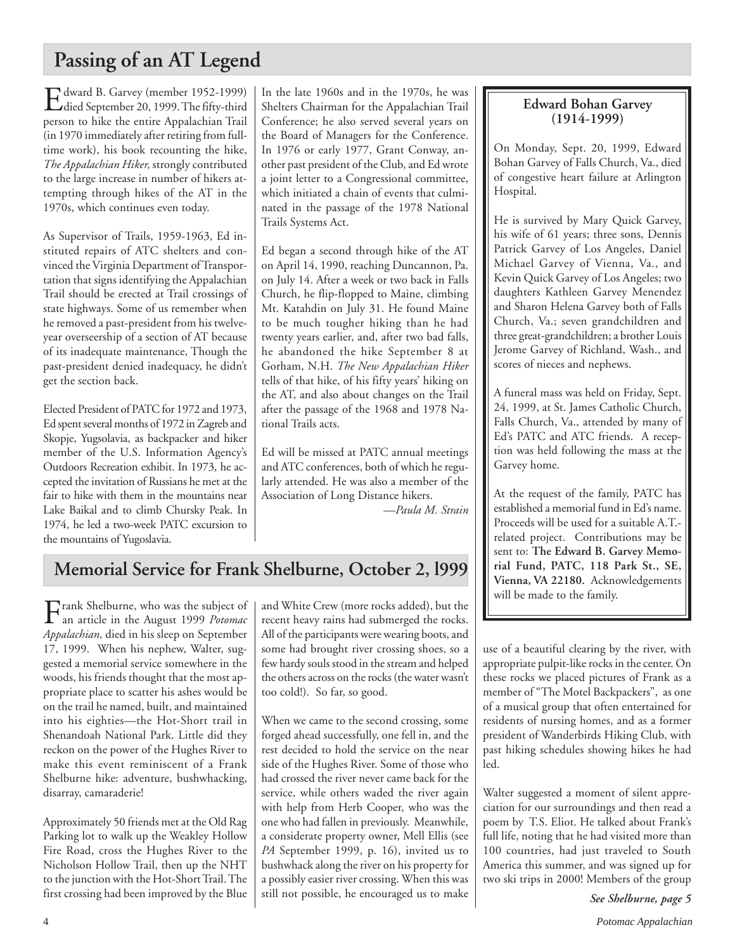# **Passing of an AT Legend**

Edward B. Garvey (member 1952-1999) died September 20, 1999. The fifty-third person to hike the entire Appalachian Trail (in 1970 immediately after retiring from fulltime work), his book recounting the hike, *The Appalachian Hiker,* strongly contributed to the large increase in number of hikers attempting through hikes of the AT in the 1970s, which continues even today.

As Supervisor of Trails, 1959-1963, Ed instituted repairs of ATC shelters and convinced the Virginia Department of Transportation that signs identifying the Appalachian Trail should be erected at Trail crossings of state highways. Some of us remember when he removed a past-president from his twelveyear overseership of a section of AT because of its inadequate maintenance, Though the past-president denied inadequacy, he didn't get the section back.

Elected President of PATC for 1972 and 1973, Ed spent several months of 1972 in Zagreb and Skopje, Yugsolavia, as backpacker and hiker member of the U.S. Information Agency's Outdoors Recreation exhibit. In 1973, he accepted the invitation of Russians he met at the fair to hike with them in the mountains near Lake Baikal and to climb Chursky Peak. In 1974, he led a two-week PATC excursion to the mountains of Yugoslavia.

In the late 1960s and in the 1970s, he was Shelters Chairman for the Appalachian Trail Conference; he also served several years on the Board of Managers for the Conference. In 1976 or early 1977, Grant Conway, another past president of the Club, and Ed wrote a joint letter to a Congressional committee, which initiated a chain of events that culminated in the passage of the 1978 National Trails Systems Act.

Ed began a second through hike of the AT on April 14, 1990, reaching Duncannon, Pa. on July 14. After a week or two back in Falls Church, he flip-flopped to Maine, climbing Mt. Katahdin on July 31. He found Maine to be much tougher hiking than he had twenty years earlier, and, after two bad falls, he abandoned the hike September 8 at Gorham, N.H. *The New Appalachian Hiker* tells of that hike, of his fifty years' hiking on the AT, and also about changes on the Trail after the passage of the 1968 and 1978 National Trails acts.

Ed will be missed at PATC annual meetings and ATC conferences, both of which he regularly attended. He was also a member of the Association of Long Distance hikers.

*—Paula M. Strain*

# **Memorial Service for Frank Shelburne, October 2, l999**

Frank Shelburne, who was the subject of an article in the August 1999 *Potomac Appalachian,* died in his sleep on September 17, 1999. When his nephew, Walter, suggested a memorial service somewhere in the woods, his friends thought that the most appropriate place to scatter his ashes would be on the trail he named, built, and maintained into his eighties—the Hot-Short trail in Shenandoah National Park. Little did they reckon on the power of the Hughes River to make this event reminiscent of a Frank Shelburne hike: adventure, bushwhacking, disarray, camaraderie!

Approximately 50 friends met at the Old Rag Parking lot to walk up the Weakley Hollow Fire Road, cross the Hughes River to the Nicholson Hollow Trail, then up the NHT to the junction with the Hot-Short Trail. The first crossing had been improved by the Blue and White Crew (more rocks added), but the recent heavy rains had submerged the rocks. All of the participants were wearing boots, and some had brought river crossing shoes, so a few hardy souls stood in the stream and helped the others across on the rocks (the water wasn't too cold!). So far, so good.

When we came to the second crossing, some forged ahead successfully, one fell in, and the rest decided to hold the service on the near side of the Hughes River. Some of those who had crossed the river never came back for the service, while others waded the river again with help from Herb Cooper, who was the one who had fallen in previously. Meanwhile, a considerate property owner, Mell Ellis (see *PA* September 1999, p. 16), invited us to bushwhack along the river on his property for a possibly easier river crossing. When this was still not possible, he encouraged us to make

# **Edward Bohan Garvey (1914-1999)**

On Monday, Sept. 20, 1999, Edward Bohan Garvey of Falls Church, Va., died of congestive heart failure at Arlington Hospital.

He is survived by Mary Quick Garvey, his wife of 61 years; three sons, Dennis Patrick Garvey of Los Angeles, Daniel Michael Garvey of Vienna, Va., and Kevin Quick Garvey of Los Angeles; two daughters Kathleen Garvey Menendez and Sharon Helena Garvey both of Falls Church, Va.; seven grandchildren and three great-grandchildren; a brother Louis Jerome Garvey of Richland, Wash., and scores of nieces and nephews.

A funeral mass was held on Friday, Sept. 24, 1999, at St. James Catholic Church, Falls Church, Va., attended by many of Ed's PATC and ATC friends. A reception was held following the mass at the Garvey home.

At the request of the family, PATC has established a memorial fund in Ed's name. Proceeds will be used for a suitable A.T. related project. Contributions may be sent to: **The Edward B. Garvey Memorial Fund, PATC, 118 Park St., SE, Vienna, VA 22180.** Acknowledgements will be made to the family.

use of a beautiful clearing by the river, with appropriate pulpit-like rocks in the center. On these rocks we placed pictures of Frank as a member of "The Motel Backpackers", as one of a musical group that often entertained for residents of nursing homes, and as a former president of Wanderbirds Hiking Club, with past hiking schedules showing hikes he had led.

Walter suggested a moment of silent appreciation for our surroundings and then read a poem by T.S. Eliot. He talked about Frank's full life, noting that he had visited more than 100 countries, had just traveled to South America this summer, and was signed up for two ski trips in 2000! Members of the group

*See Shelburne, page 5*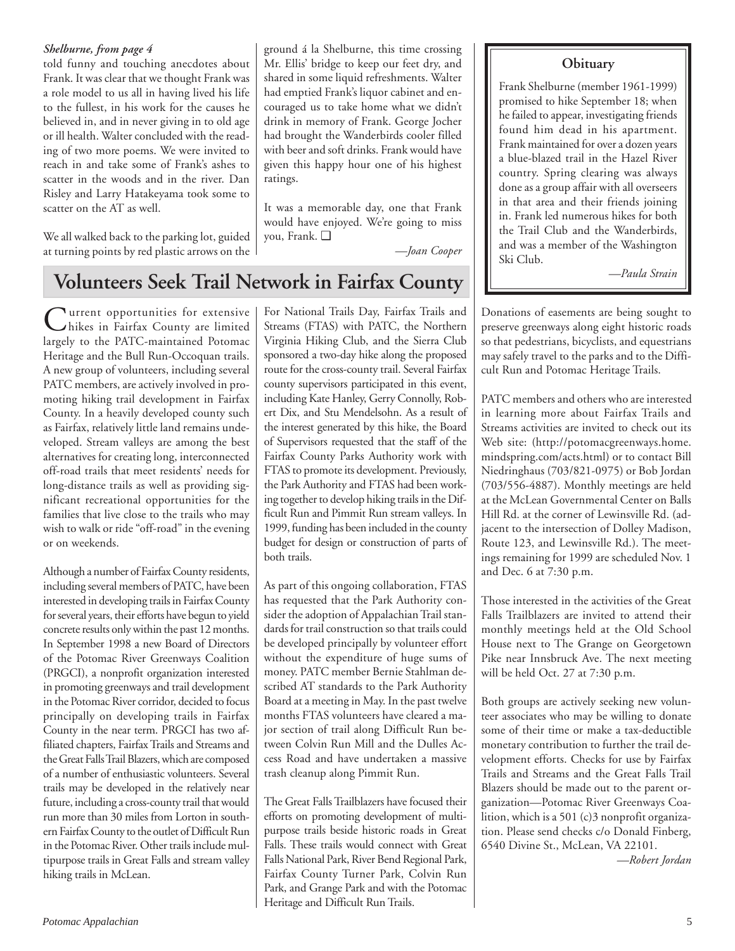## *Shelburne, from page 4*

told funny and touching anecdotes about **Obituary** Mr. Ellis' bridge to keep our feet dry, and Frank. It was clear that we thought Frank was a role model to us all in having lived his life to the fullest, in his work for the causes he believed in, and in never giving in to old age or ill health. Walter concluded with the reading of two more poems. We were invited to reach in and take some of Frank's ashes to scatter in the woods and in the river. Dan Risley and Larry Hatakeyama took some to scatter on the AT as well.

We all walked back to the parking lot, guided at turning points by red plastic arrows on the

ground á la Shelburne, this time crossing shared in some liquid refreshments. Walter had emptied Frank's liquor cabinet and encouraged us to take home what we didn't drink in memory of Frank. George Jocher had brought the Wanderbirds cooler filled with beer and soft drinks. Frank would have given this happy hour one of his highest ratings.

It was a memorable day, one that Frank would have enjoyed. We're going to miss you, Frank. ❑

*—Joan Cooper*

Frank Shelburne (member 1961-1999) promised to hike September 18; when he failed to appear, investigating friends found him dead in his apartment. Frank maintained for over a dozen years a blue-blazed trail in the Hazel River country. Spring clearing was always done as a group affair with all overseers in that area and their friends joining in. Frank led numerous hikes for both the Trail Club and the Wanderbirds, and was a member of the Washington Ski Club.

*—Paula Strain*

# **Volunteers Seek Trail Network in Fairfax County**

**Lurrent opportunities for extensive** hikes in Fairfax County are limited largely to the PATC-maintained Potomac Heritage and the Bull Run-Occoquan trails. A new group of volunteers, including several PATC members, are actively involved in promoting hiking trail development in Fairfax County. In a heavily developed county such as Fairfax, relatively little land remains undeveloped. Stream valleys are among the best alternatives for creating long, interconnected off-road trails that meet residents' needs for long-distance trails as well as providing significant recreational opportunities for the families that live close to the trails who may wish to walk or ride "off-road" in the evening or on weekends.

Although a number of Fairfax County residents, including several members of PATC, have been interested in developing trails in Fairfax County for several years, their efforts have begun to yield concrete results only within the past 12 months. In September 1998 a new Board of Directors of the Potomac River Greenways Coalition (PRGCI), a nonprofit organization interested in promoting greenways and trail development in the Potomac River corridor, decided to focus principally on developing trails in Fairfax County in the near term. PRGCI has two affiliated chapters, Fairfax Trails and Streams and the Great Falls Trail Blazers, which are composed of a number of enthusiastic volunteers. Several trails may be developed in the relatively near future, including a cross-county trail that would run more than 30 miles from Lorton in southern Fairfax County to the outlet of Difficult Run in the Potomac River. Other trails include multipurpose trails in Great Falls and stream valley hiking trails in McLean.

For National Trails Day, Fairfax Trails and Streams (FTAS) with PATC, the Northern Virginia Hiking Club, and the Sierra Club sponsored a two-day hike along the proposed route for the cross-county trail. Several Fairfax county supervisors participated in this event, including Kate Hanley, Gerry Connolly, Robert Dix, and Stu Mendelsohn. As a result of the interest generated by this hike, the Board of Supervisors requested that the staff of the Fairfax County Parks Authority work with FTAS to promote its development. Previously, the Park Authority and FTAS had been working together to develop hiking trails in the Difficult Run and Pimmit Run stream valleys. In 1999, funding has been included in the county budget for design or construction of parts of both trails.

As part of this ongoing collaboration, FTAS has requested that the Park Authority consider the adoption of Appalachian Trail standards for trail construction so that trails could be developed principally by volunteer effort without the expenditure of huge sums of money. PATC member Bernie Stahlman described AT standards to the Park Authority Board at a meeting in May. In the past twelve months FTAS volunteers have cleared a major section of trail along Difficult Run between Colvin Run Mill and the Dulles Access Road and have undertaken a massive trash cleanup along Pimmit Run.

The Great Falls Trailblazers have focused their efforts on promoting development of multipurpose trails beside historic roads in Great Falls. These trails would connect with Great Falls National Park, River Bend Regional Park, Fairfax County Turner Park, Colvin Run Park, and Grange Park and with the Potomac Heritage and Difficult Run Trails.

Donations of easements are being sought to preserve greenways along eight historic roads so that pedestrians, bicyclists, and equestrians may safely travel to the parks and to the Difficult Run and Potomac Heritage Trails.

PATC members and others who are interested in learning more about Fairfax Trails and Streams activities are invited to check out its Web site: (http://potomacgreenways.home. mindspring.com/acts.html) or to contact Bill Niedringhaus (703/821-0975) or Bob Jordan (703/556-4887). Monthly meetings are held at the McLean Governmental Center on Balls Hill Rd. at the corner of Lewinsville Rd. (adjacent to the intersection of Dolley Madison, Route 123, and Lewinsville Rd.). The meetings remaining for 1999 are scheduled Nov. 1 and Dec. 6 at 7:30 p.m.

Those interested in the activities of the Great Falls Trailblazers are invited to attend their monthly meetings held at the Old School House next to The Grange on Georgetown Pike near Innsbruck Ave. The next meeting will be held Oct. 27 at 7:30 p.m.

Both groups are actively seeking new volunteer associates who may be willing to donate some of their time or make a tax-deductible monetary contribution to further the trail development efforts. Checks for use by Fairfax Trails and Streams and the Great Falls Trail Blazers should be made out to the parent organization—Potomac River Greenways Coalition, which is a 501 (c)3 nonprofit organization. Please send checks c/o Donald Finberg, 6540 Divine St., McLean, VA 22101.

*—Robert Jordan*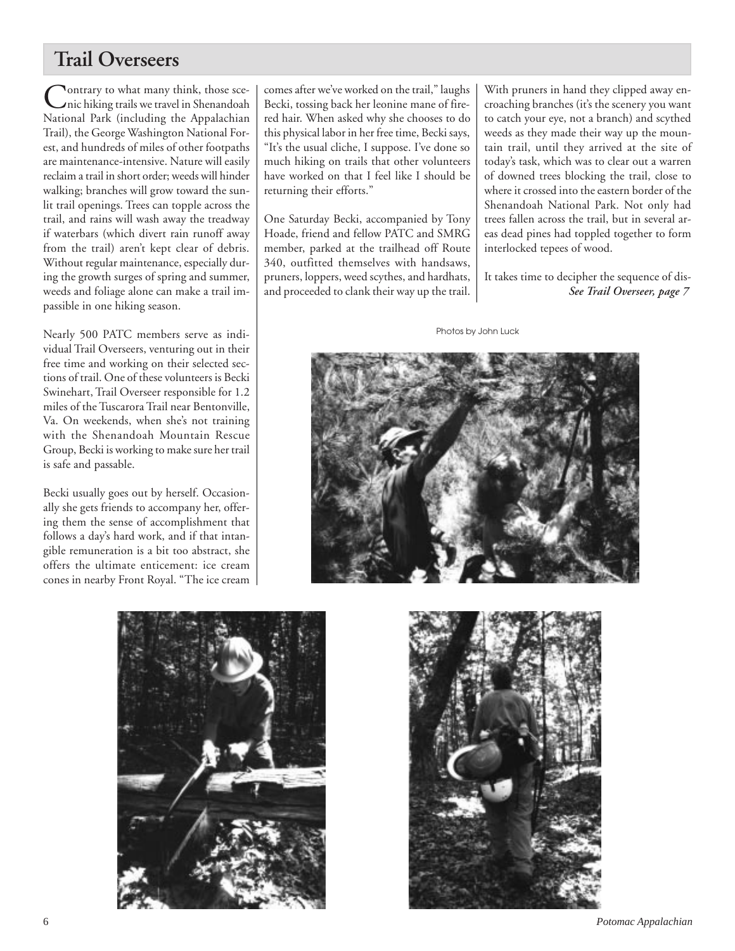# **Trail Overseers**

Contrary to what many think, those sce-<br>nic hiking trails we travel in Shenandoah<br>National Barbara de la decedent National Park (including the Appalachian Trail), the George Washington National Forest, and hundreds of miles of other footpaths are maintenance-intensive. Nature will easily reclaim a trail in short order; weeds will hinder walking; branches will grow toward the sunlit trail openings. Trees can topple across the trail, and rains will wash away the treadway if waterbars (which divert rain runoff away from the trail) aren't kept clear of debris. Without regular maintenance, especially during the growth surges of spring and summer, weeds and foliage alone can make a trail impassible in one hiking season.

Nearly 500 PATC members serve as individual Trail Overseers, venturing out in their free time and working on their selected sections of trail. One of these volunteers is Becki Swinehart, Trail Overseer responsible for 1.2 miles of the Tuscarora Trail near Bentonville, Va. On weekends, when she's not training with the Shenandoah Mountain Rescue Group, Becki is working to make sure her trail is safe and passable.

Becki usually goes out by herself. Occasionally she gets friends to accompany her, offering them the sense of accomplishment that follows a day's hard work, and if that intangible remuneration is a bit too abstract, she offers the ultimate enticement: ice cream cones in nearby Front Royal. "The ice cream comes after we've worked on the trail," laughs Becki, tossing back her leonine mane of firered hair. When asked why she chooses to do this physical labor in her free time, Becki says, "It's the usual cliche, I suppose. I've done so much hiking on trails that other volunteers have worked on that I feel like I should be returning their efforts."

One Saturday Becki, accompanied by Tony Hoade, friend and fellow PATC and SMRG member, parked at the trailhead off Route 340, outfitted themselves with handsaws, pruners, loppers, weed scythes, and hardhats, and proceeded to clank their way up the trail. With pruners in hand they clipped away encroaching branches (it's the scenery you want to catch your eye, not a branch) and scythed weeds as they made their way up the mountain trail, until they arrived at the site of today's task, which was to clear out a warren of downed trees blocking the trail, close to where it crossed into the eastern border of the Shenandoah National Park. Not only had trees fallen across the trail, but in several areas dead pines had toppled together to form interlocked tepees of wood.

It takes time to decipher the sequence of dis-*See Trail Overseer, page 7*

Photos by John Luck





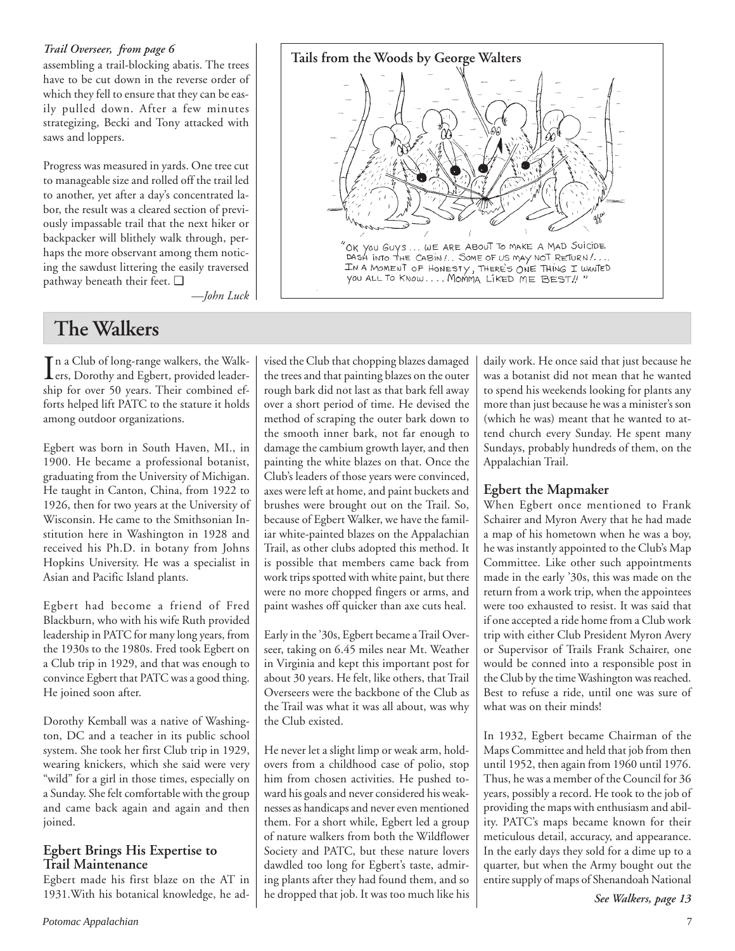## *Trail Overseer, from page 6*

assembling a trail-blocking abatis. The trees have to be cut down in the reverse order of which they fell to ensure that they can be easily pulled down. After a few minutes strategizing, Becki and Tony attacked with saws and loppers.

Progress was measured in yards. One tree cut to manageable size and rolled off the trail led to another, yet after a day's concentrated labor, the result was a cleared section of previously impassable trail that the next hiker or backpacker will blithely walk through, perhaps the more observant among them noticing the sawdust littering the easily traversed pathway beneath their feet. ❑



*—John Luck*

# **The Walkers**

In a Club of long-range walkers, the Walk-<br>
ers, Dorothy and Egbert, provided leaderers, Dorothy and Egbert, provided leadership for over 50 years. Their combined efforts helped lift PATC to the stature it holds among outdoor organizations.

Egbert was born in South Haven, MI., in 1900. He became a professional botanist, graduating from the University of Michigan. He taught in Canton, China, from 1922 to 1926, then for two years at the University of Wisconsin. He came to the Smithsonian Institution here in Washington in 1928 and received his Ph.D. in botany from Johns Hopkins University. He was a specialist in Asian and Pacific Island plants.

Egbert had become a friend of Fred Blackburn, who with his wife Ruth provided leadership in PATC for many long years, from the 1930s to the 1980s. Fred took Egbert on a Club trip in 1929, and that was enough to convince Egbert that PATC was a good thing. He joined soon after.

Dorothy Kemball was a native of Washington, DC and a teacher in its public school system. She took her first Club trip in 1929, wearing knickers, which she said were very "wild" for a girl in those times, especially on a Sunday. She felt comfortable with the group and came back again and again and then joined.

## **Egbert Brings His Expertise to Trail Maintenance**

Egbert made his first blaze on the AT in 1931.With his botanical knowledge, he advised the Club that chopping blazes damaged the trees and that painting blazes on the outer rough bark did not last as that bark fell away over a short period of time. He devised the method of scraping the outer bark down to the smooth inner bark, not far enough to damage the cambium growth layer, and then painting the white blazes on that. Once the Club's leaders of those years were convinced, axes were left at home, and paint buckets and brushes were brought out on the Trail. So, because of Egbert Walker, we have the familiar white-painted blazes on the Appalachian Trail, as other clubs adopted this method. It is possible that members came back from work trips spotted with white paint, but there were no more chopped fingers or arms, and paint washes off quicker than axe cuts heal.

Early in the '30s, Egbert became a Trail Overseer, taking on 6.45 miles near Mt. Weather in Virginia and kept this important post for about 30 years. He felt, like others, that Trail Overseers were the backbone of the Club as the Trail was what it was all about, was why the Club existed.

He never let a slight limp or weak arm, holdovers from a childhood case of polio, stop him from chosen activities. He pushed toward his goals and never considered his weaknesses as handicaps and never even mentioned them. For a short while, Egbert led a group of nature walkers from both the Wildflower Society and PATC, but these nature lovers dawdled too long for Egbert's taste, admiring plants after they had found them, and so he dropped that job. It was too much like his

daily work. He once said that just because he was a botanist did not mean that he wanted to spend his weekends looking for plants any more than just because he was a minister's son (which he was) meant that he wanted to attend church every Sunday. He spent many Sundays, probably hundreds of them, on the Appalachian Trail.

# **Egbert the Mapmaker**

When Egbert once mentioned to Frank Schairer and Myron Avery that he had made a map of his hometown when he was a boy, he was instantly appointed to the Club's Map Committee. Like other such appointments made in the early '30s, this was made on the return from a work trip, when the appointees were too exhausted to resist. It was said that if one accepted a ride home from a Club work trip with either Club President Myron Avery or Supervisor of Trails Frank Schairer, one would be conned into a responsible post in the Club by the time Washington was reached. Best to refuse a ride, until one was sure of what was on their minds!

In 1932, Egbert became Chairman of the Maps Committee and held that job from then until 1952, then again from 1960 until 1976. Thus, he was a member of the Council for 36 years, possibly a record. He took to the job of providing the maps with enthusiasm and ability. PATC's maps became known for their meticulous detail, accuracy, and appearance. In the early days they sold for a dime up to a quarter, but when the Army bought out the entire supply of maps of Shenandoah National

*See Walkers, page 13*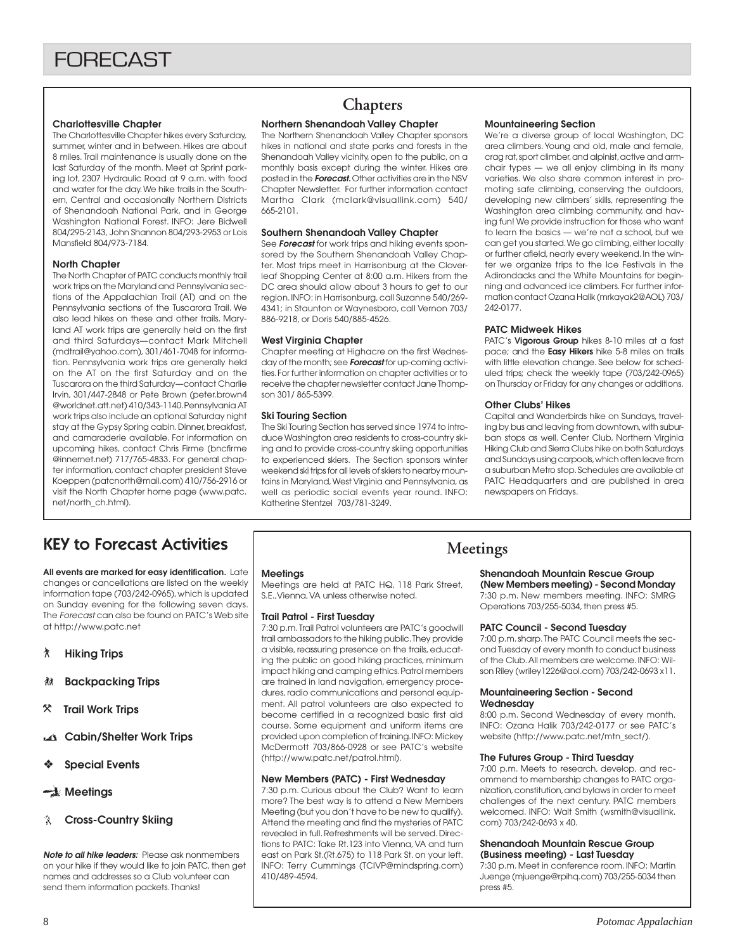### **Charlottesville Chapter**

The Charlottesville Chapter hikes every Saturday, summer, winter and in between. Hikes are about 8 miles. Trail maintenance is usually done on the last Saturday of the month. Meet at Sprint parking lot, 2307 Hydraulic Road at 9 a.m. with food and water for the day. We hike trails in the Southern, Central and occasionally Northern Districts of Shenandoah National Park, and in George Washington National Forest. INFO: Jere Bidwell 804/295-2143, John Shannon 804/293-2953 or Lois Mansfield 804/973-7184.

### **North Chapter**

The North Chapter of PATC conducts monthly trail work trips on the Maryland and Pennsylvania sections of the Appalachian Trail (AT) and on the Pennsylvania sections of the Tuscarora Trail. We also lead hikes on these and other trails. Maryland AT work trips are generally held on the first and third Saturdays—contact Mark Mitchell (mdtrail@yahoo.com), 301/461-7048 for information. Pennsylvania work trips are generally held on the AT on the first Saturday and on the Tuscarora on the third Saturday—contact Charlie Irvin, 301/447-2848 or Pete Brown (peter.brown4 @worldnet.att.net) 410/343-1140. Pennsylvania AT work trips also include an optional Saturday night stay at the Gypsy Spring cabin. Dinner, breakfast, and camaraderie available. For information on upcoming hikes, contact Chris Firme (bncfirme @innernet.net) 717/765-4833. For general chapter information, contact chapter president Steve Koeppen (patcnorth@mail.com) 410/756-2916 or visit the North Chapter home page (www.patc. net/north\_ch.html).

# **Chapters**

### **Northern Shenandoah Valley Chapter**

The Northern Shenandoah Valley Chapter sponsors hikes in national and state parks and forests in the Shenandoah Valley vicinity, open to the public, on a monthly basis except during the winter. Hikes are posted in the **Forecast.** Other activities are in the NSV Chapter Newsletter. For further information contact Martha Clark (mclark@visuallink.com) 540/ 665-2101.

### **Southern Shenandoah Valley Chapter**

See **Forecast** for work trips and hiking events sponsored by the Southern Shenandoah Valley Chapter. Most trips meet in Harrisonburg at the Cloverleaf Shopping Center at 8:00 a.m. Hikers from the DC area should allow about 3 hours to get to our region. INFO: in Harrisonburg, call Suzanne 540/269- 4341; in Staunton or Waynesboro, call Vernon 703/ 886-9218, or Doris 540/885-4526.

#### **West Virginia Chapter**

Chapter meeting at Highacre on the first Wednesday of the month; see **Forecast** for up-coming activities. For further information on chapter activities or to receive the chapter newsletter contact Jane Thompson 301/ 865-5399.

#### **Ski Touring Section**

The Ski Touring Section has served since 1974 to introduce Washington area residents to cross-country skiing and to provide cross-country skiing opportunities to experienced skiers. The Section sponsors winter weekend ski trips for all levels of skiers to nearby mountains in Maryland, West Virginia and Pennsylvania, as well as periodic social events year round. INFO: Katherine Stentzel 703/781-3249.

### **Mountaineering Section**

We're a diverse group of local Washington, DC area climbers. Young and old, male and female, crag rat, sport climber, and alpinist, active and armchair types — we all enjoy climbing in its many varieties. We also share common interest in promoting safe climbing, conserving the outdoors, developing new climbers' skills, representing the Washington area climbing community, and having fun! We provide instruction for those who want to learn the basics — we're not a school, but we can get you started. We go climbing, either locally or further afield, nearly every weekend. In the winter we organize trips to the Ice Festivals in the Adirondacks and the White Mountains for beginning and advanced ice climbers. For further information contact Ozana Halik (mrkayak2@AOL) 703/ 242-0177.

#### **PATC Midweek Hikes**

PATC's **Vigorous Group** hikes 8-10 miles at a fast pace; and the **Easy Hikers** hike 5-8 miles on trails with little elevation change. See below for scheduled trips; check the weekly tape (703/242-0965) on Thursday or Friday for any changes or additions.

#### **Other Clubs' Hikes**

Capital and Wanderbirds hike on Sundays, traveling by bus and leaving from downtown, with suburban stops as well. Center Club, Northern Virginia Hiking Club and Sierra Clubs hike on both Saturdays and Sundays using carpools, which often leave from a suburban Metro stop. Schedules are available at PATC Headquarters and are published in area newspapers on Fridays.

# KEY to Forecast Activities

**All events are marked for easy identification.** Late changes or cancellations are listed on the weekly information tape (703/242-0965), which is updated on Sunday evening for the following seven days. The Forecast can also be found on PATC's Web site at http://www.patc.net

- ` **Hiking Trips**
- **Backpacking Trips**
- } **Trail Work Trips**
- **Cabin/Shelter Work Trips**
- ❖ **Special Events**

## **Meetings**

**Cross-Country Skiing**

**Note to all hike leaders:** Please ask nonmembers on your hike if they would like to join PATC, then get names and addresses so a Club volunteer can send them information packets. Thanks!

#### **Meetings**

Meetings are held at PATC HQ, 118 Park Street, S.E.,Vienna, VA unless otherwise noted.

#### **Trail Patrol - First Tuesday**

7:30 p.m. Trail Patrol volunteers are PATC's goodwill trail ambassadors to the hiking public. They provide a visible, reassuring presence on the trails, educating the public on good hiking practices, minimum impact hiking and camping ethics. Patrol members are trained in land navigation, emergency procedures, radio communications and personal equipment. All patrol volunteers are also expected to become certified in a recognized basic first aid course. Some equipment and uniform items are provided upon completion of training. INFO: Mickey McDermott 703/866-0928 or see PATC's website (http://www.patc.net/patrol.html).

#### **New Members (PATC) - First Wednesday**

7:30 p.m. Curious about the Club? Want to learn more? The best way is to attend a New Members Meeting (but you don't have to be new to qualify). Attend the meeting and find the mysteries of PATC revealed in full. Refreshments will be served. Directions to PATC: Take Rt.123 into Vienna, VA and turn east on Park St.(Rt.675) to 118 Park St. on your left. INFO: Terry Cummings (TCIVP@mindspring.com) 410/489-4594.

# **Meetings**

#### **Shenandoah Mountain Rescue Group (New Members meeting) - Second Monday**

7:30 p.m. New members meeting. INFO: SMRG Operations 703/255-5034, then press #5.

#### **PATC Council - Second Tuesday**

7:00 p.m. sharp. The PATC Council meets the second Tuesday of every month to conduct business of the Club. All members are welcome. INFO: Wilson Riley (wriley1226@aol.com) 703/242-0693 x11.

#### **Mountaineering Section - Second Wednesday**

8:00 p.m. Second Wednesday of every month. INFO: Ozana Halik 703/242-0177 or see PATC's website (http://www.patc.net/mtn\_sect/).

#### **The Futures Group - Third Tuesday**

7:00 p.m. Meets to research, develop, and recommend to membership changes to PATC organization, constitution, and bylaws in order to meet challenges of the next century. PATC members welcomed. INFO: Walt Smith (wsmith@visuallink. com) 703/242-0693 x 40.

#### **Shenandoah Mountain Rescue Group (Business meeting) - Last Tuesday**

7:30 p.m. Meet in conference room. INFO: Martin Juenge (mjuenge@rpihq.com) 703/255-5034 then press #5.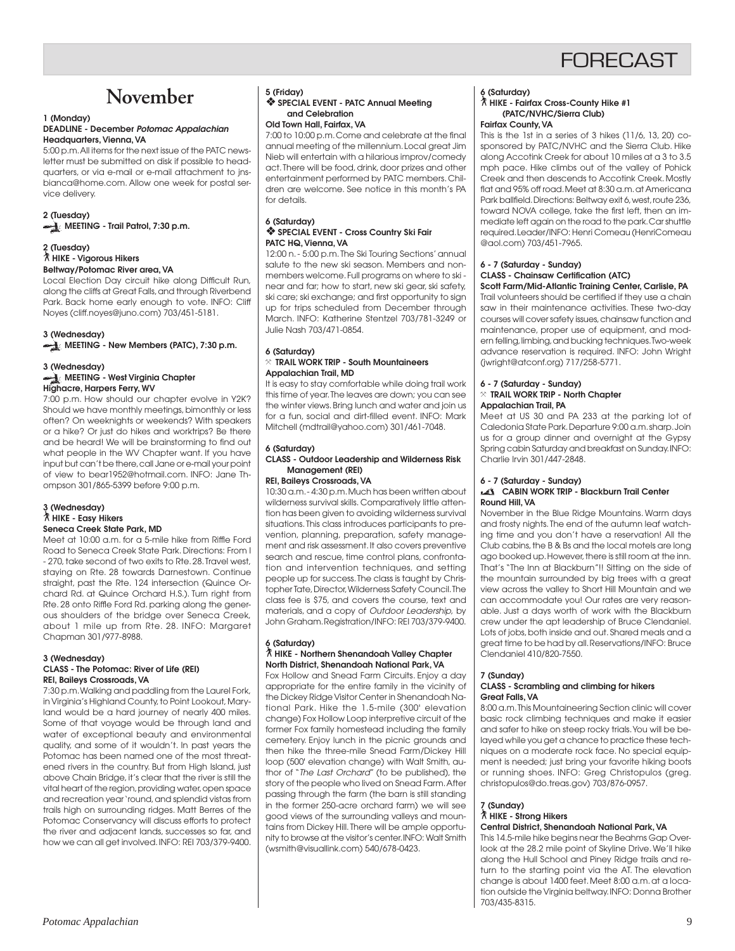# **FORFCAST**

# **November**

#### **1 (Monday) DEADLINE - December Potomac Appalachian Headquarters, Vienna, VA**

5:00 p.m. All items for the next issue of the PATC newsletter must be submitted on disk if possible to headquarters, or via e-mail or e-mail attachment to jnsbianca@home.com. Allow one week for postal service delivery.

### **2 (Tuesday) MEETING - Trail Patrol, 7:30 p.m.**

#### **2 (Tuesday)** ` **HIKE - Vigorous Hikers Beltway/Potomac River area, VA**

Local Election Day circuit hike along Difficult Run, along the cliffs at Great Falls, and through Riverbend Park. Back home early enough to vote. INFO: Cliff Noyes (cliff.noyes@juno.com) 703/451-5181.

### **3 (Wednesday)**

**MEETING - New Members (PATC), 7:30 p.m.** 

### **3 (Wednesday)**

**MEETING - West Virginia Chapter Highacre, Harpers Ferry, WV**

7:00 p.m. How should our chapter evolve in Y2K? Should we have monthly meetings, bimonthly or less often? On weeknights or weekends? With speakers or a hike? Or just do hikes and worktrips? Be there and be heard! We will be brainstorming to find out what people in the WV Chapter want. If you have input but can't be there, call Jane or e-mail your point of view to bear1952@hotmail.com. INFO: Jane Thompson 301/865-5399 before 9:00 p.m.

# **3 (Wednesday)** ` **HIKE - Easy Hikers Seneca Creek State Park, MD**

Meet at 10:00 a.m. for a 5-mile hike from Riffle Ford Road to Seneca Creek State Park. Directions: From I - 270, take second of two exits to Rte. 28. Travel west, staying on Rte. 28 towards Darnestown. Continue straight, past the Rte. 124 intersection (Quince Orchard Rd. at Quince Orchard H.S.). Turn right from Rte. 28 onto Riffle Ford Rd. parking along the generous shoulders of the bridge over Seneca Creek, about 1 mile up from Rte. 28. INFO: Margaret Chapman 301/977-8988.

#### **3 (Wednesday) CLASS - The Potomac: River of Life (REI) REI, Baileys Crossroads, VA**

7:30 p.m. Walking and paddling from the Laurel Fork, in Virginia's Highland County, to Point Lookout, Maryland would be a hard journey of nearly 400 miles. Some of that voyage would be through land and water of exceptional beauty and environmental quality, and some of it wouldn't. In past years the Potomac has been named one of the most threatened rivers in the country. But from High Island, just above Chain Bridge, it's clear that the river is still the vital heart of the region, providing water, open space and recreation year 'round, and splendid vistas from trails high on surrounding ridges. Matt Berres of the Potomac Conservancy will discuss efforts to protect the river and adjacent lands, successes so far, and how we can all get involved. INFO: REI 703/379-9400.

#### **5 (Friday)** ❖ **SPECIAL EVENT - PATC Annual Meeting and Celebration Old Town Hall, Fairfax, VA**

7:00 to 10:00 p.m. Come and celebrate at the final annual meeting of the millennium. Local great Jim Nieb will entertain with a hilarious improv/comedy act. There will be food, drink, door prizes and other entertainment performed by PATC members. Children are welcome. See notice in this month's PA for details.

#### **6 (Saturday)** ❖ **SPECIAL EVENT - Cross Country Ski Fair PATC HQ, Vienna, VA**

12:00 n. - 5:00 p.m. The Ski Touring Sections' annual salute to the new ski season. Members and nonmembers welcome. Full programs on where to ski near and far; how to start, new ski gear, ski safety, ski care; ski exchange; and first opportunity to sign up for trips scheduled from December through March. INFO: Katherine Stentzel 703/781-3249 or Julie Nash 703/471-0854.

#### **6 (Saturday)** } **TRAIL WORK TRIP - South Mountaineers Appalachian Trail, MD**

It is easy to stay comfortable while doing trail work this time of year. The leaves are down; you can see the winter views. Bring lunch and water and join us for a fun, social and dirt-filled event. INFO: Mark Mitchell (mdtrail@yahoo.com) 301/461-7048.

### **6 (Saturday)**

#### **CLASS - Outdoor Leadership and Wilderness Risk Management (REI)**

### **REI, Baileys Crossroads, VA**

10:30 a.m. - 4:30 p.m. Much has been written about wilderness survival skills. Comparatively little attention has been given to avoiding wilderness survival situations. This class introduces participants to prevention, planning, preparation, safety management and risk assessment. It also covers preventive search and rescue, time control plans, confrontation and intervention techniques, and setting people up for success. The class is taught by Christopher Tate, Director, Wilderness Safety Council. The class fee is \$75, and covers the course, text and materials, and a copy of Outdoor Leadership, by John Graham. Registration/INFO: REI 703/379-9400.

#### **6 (Saturday)** ` **HIKE - Northern Shenandoah Valley Chapter North District, Shenandoah National Park, VA**

Fox Hollow and Snead Farm Circuits. Enjoy a day appropriate for the entire family in the vicinity of the Dickey Ridge Visitor Center in Shenandoah National Park. Hike the 1.5-mile (300' elevation change) Fox Hollow Loop interpretive circuit of the former Fox family homestead including the family cemetery. Enjoy lunch in the picnic grounds and then hike the three-mile Snead Farm/Dickey Hill loop (500' elevation change) with Walt Smith, author of "The Last Orchard" (to be published), the story of the people who lived on Snead Farm. After passing through the farm (the barn is still standing in the former 250-acre orchard farm) we will see good views of the surrounding valleys and mountains from Dickey Hill. There will be ample opportunity to browse at the visitor's center. INFO: Walt Smith (wsmith@visuallink.com) 540/678-0423.

#### **6 (Saturday)**

#### ` **HIKE - Fairfax Cross-County Hike #1 (PATC/NVHC/Sierra Club) Fairfax County, VA**

This is the 1st in a series of 3 hikes (11/6, 13, 20) cosponsored by PATC/NVHC and the Sierra Club. Hike along Accotink Creek for about 10 miles at a 3 to 3.5 mph pace. Hike climbs out of the valley of Pohick Creek and then descends to Accotink Creek. Mostly flat and 95% off road. Meet at 8:30 a.m. at Americana Park ballfield. Directions: Beltway exit 6, west, route 236, toward NOVA college, take the first left, then an immediate left again on the road to the park. Car shuttle required. Leader/INFO: Henri Comeau (HenriComeau @aol.com) 703/451-7965.

## **6 - 7 (Saturday - Sunday) CLASS - Chainsaw Certification (ATC)**

**Scott Farm/Mid-Atlantic Training Center, Carlisle, PA** Trail volunteers should be certified if they use a chain saw in their maintenance activities. These two-day courses will cover safety issues, chainsaw function and maintenance, proper use of equipment, and modern felling, limbing, and bucking techniques. Two-week advance reservation is required. INFO: John Wright (jwright@atconf.org) 717/258-5771.

#### **6 - 7 (Saturday - Sunday)** } **TRAIL WORK TRIP - North Chapter Appalachian Trail, PA**

Meet at US 30 and PA 233 at the parking lot of Caledonia State Park. Departure 9:00 a.m. sharp. Join us for a group dinner and overnight at the Gypsy Spring cabin Saturday and breakfast on Sunday. INFO: Charlie Irvin 301/447-2848.

#### **6 - 7 (Saturday - Sunday)**

#### **CABIN WORK TRIP - Blackburn Trail Center Round Hill, VA**

November in the Blue Ridge Mountains. Warm days and frosty nights. The end of the autumn leaf watching time and you don't have a reservation! All the Club cabins, the B & Bs and the local motels are long ago booked up. However, there is still room at the inn. That's "The Inn at Blackburn"!! Sitting on the side of the mountain surrounded by big trees with a great view across the valley to Short Hill Mountain and we can accommodate you! Our rates are very reasonable. Just a days worth of work with the Blackburn crew under the apt leadership of Bruce Clendaniel. Lots of jobs, both inside and out. Shared meals and a great time to be had by all. Reservations/INFO: Bruce Clendaniel 410/820-7550.

### **7 (Sunday)**

#### **CLASS - Scrambling and climbing for hikers Great Falls, VA**

8:00 a.m. This Mountaineering Section clinic will cover basic rock climbing techniques and make it easier and safer to hike on steep rocky trials. You will be belayed while you get a chance to practice these techniques on a moderate rock face. No special equipment is needed; just bring your favorite hiking boots or running shoes. INFO: Greg Christopulos (greg. christopulos@do.treas.gov) 703/876-0957.

#### **7 (Sunday)** ` **HIKE - Strong Hikers Central District, Shenandoah National Park, VA**

This 14.5-mile hike begins near the Beahms Gap Overlook at the 28.2 mile point of Skyline Drive. We'll hike along the Hull School and Piney Ridge trails and return to the starting point via the AT. The elevation change is about 1400 feet. Meet 8:00 a.m. at a location outside the Virginia beltway. INFO: Donna Brother 703/435-8315.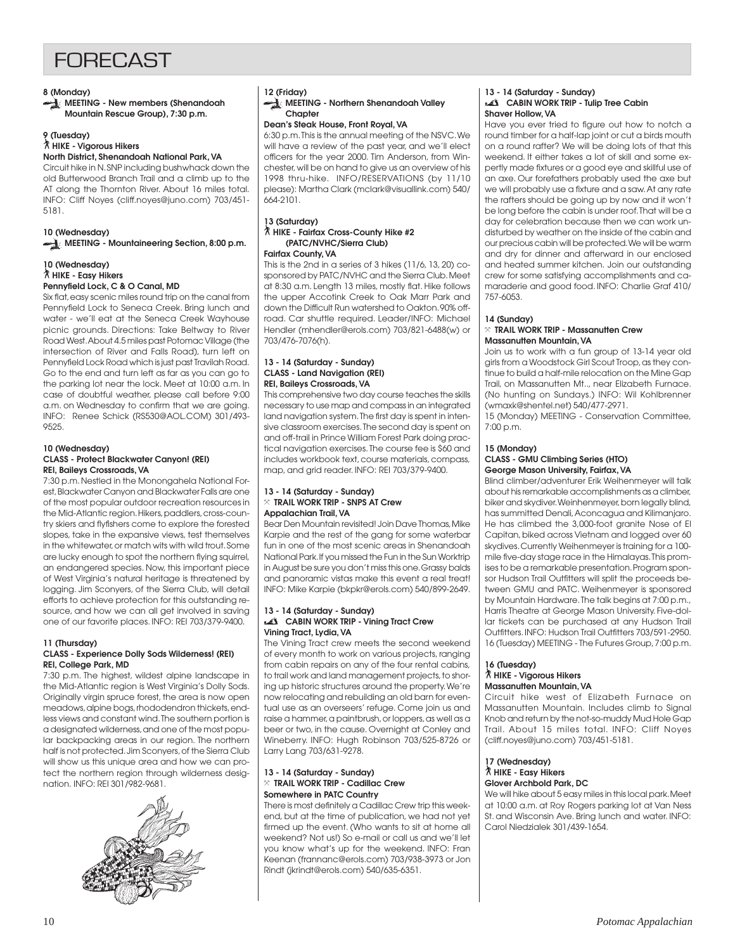# **FORFCAST**

#### **8 (Monday)**

**MEETING - New members (Shenandoah Mountain Rescue Group), 7:30 p.m.**

#### **9 (Tuesday)**

` **HIKE - Vigorous Hikers North District, Shenandoah National Park, VA**

Circuit hike in N. SNP including bushwhack down the old Butterwood Branch Trail and a climb up to the AT along the Thornton River. About 16 miles total. INFO: Cliff Noyes (cliff.noyes@juno.com) 703/451- 5181.

### **10 (Wednesday) MEETING - Mountaineering Section, 8:00 p.m.**

#### **10 (Wednesday)** ` **HIKE - Easy Hikers Pennyfield Lock, C & O Canal, MD**

Six flat, easy scenic miles round trip on the canal from Pennyfield Lock to Seneca Creek. Bring lunch and water - we'll eat at the Seneca Creek Wayhouse picnic grounds. Directions: Take Beltway to River Road West. About 4.5 miles past Potomac Village (the intersection of River and Falls Road), turn left on Pennyfield Lock Road which is just past Travilah Road. Go to the end and turn left as far as you can go to the parking lot near the lock. Meet at 10:00 a.m. In case of doubtful weather, please call before 9:00 a.m. on Wednesday to confirm that we are going. INFO: Renee Schick (RS530@AOL.COM) 301/493- 9525.

## **10 (Wednesday)**

#### **CLASS - Protect Blackwater Canyon! (REI) REI, Baileys Crossroads, VA**

7:30 p.m. Nestled in the Monongahela National Forest, Blackwater Canyon and Blackwater Falls are one of the most popular outdoor recreation resources in the Mid-Atlantic region. Hikers, paddlers, cross-country skiers and flyfishers come to explore the forested slopes, take in the expansive views, test themselves in the whitewater, or match wits with wild trout. Some are lucky enough to spot the northern flying squirrel, an endangered species. Now, this important piece of West Virginia's natural heritage is threatened by logging. Jim Sconyers, of the Sierra Club, will detail efforts to achieve protection for this outstanding resource, and how we can all get involved in saving one of our favorite places. INFO: REI 703/379-9400.

#### **11 (Thursday)**

### **CLASS - Experience Dolly Sods Wilderness! (REI) REI, College Park, MD**

7:30 p.m. The highest, wildest alpine landscape in the Mid-Atlantic region is West Virginia's Dolly Sods. Originally virgin spruce forest, the area is now open meadows, alpine bogs, rhododendron thickets, endless views and constant wind. The southern portion is a designated wilderness, and one of the most popular backpacking areas in our region. The northern half is not protected. Jim Sconyers, of the Sierra Club will show us this unique area and how we can protect the northern region through wilderness designation. INFO: REI 301/982-9681.



#### **12 (Friday)**

**MEETING - Northern Shenandoah Valley Chapter**

### **Dean's Steak House, Front Royal, VA**

6:30 p.m. This is the annual meeting of the NSVC. We will have a review of the past year, and we'll elect officers for the year 2000. Tim Anderson, from Winchester, will be on hand to give us an overview of his 1998 thru-hike. INFO/RESERVATIONS (by 11/10 please): Martha Clark (mclark@visuallink.com) 540/ 664-2101.

#### **13 (Saturday)** ` **HIKE - Fairfax Cross-County Hike #2 (PATC/NVHC/Sierra Club) Fairfax County, VA**

# This is the 2nd in a series of 3 hikes (11/6, 13, 20) co-

sponsored by PATC/NVHC and the Sierra Club. Meet at 8:30 a.m. Length 13 miles, mostly flat. Hike follows the upper Accotink Creek to Oak Marr Park and down the Difficult Run watershed to Oakton. 90% offroad. Car shuttle required. Leader/INFO: Michael Hendler (mhendler@erols.com) 703/821-6488(w) or 703/476-7076(h).

#### **13 - 14 (Saturday - Sunday) CLASS - Land Navigation (REI) REI, Baileys Crossroads, VA**

This comprehensive two day course teaches the skills necessary to use map and compass in an integrated land navigation system. The first day is spent in intensive classroom exercises. The second day is spent on and off-trail in Prince William Forest Park doing practical navigation exercises. The course fee is \$60 and includes workbook text, course materials, compass, map, and grid reader. INFO: REI 703/379-9400.

#### **13 - 14 (Saturday - Sunday)** } **TRAIL WORK TRIP - SNPS AT Crew Appalachian Trail, VA**

Bear Den Mountain revisited! Join Dave Thomas, Mike Karpie and the rest of the gang for some waterbar fun in one of the most scenic areas in Shenandoah National Park. If you missed the Fun in the Sun Worktrip in August be sure you don't miss this one. Grassy balds and panoramic vistas make this event a real treat! INFO: Mike Karpie (bkpkr@erols.com) 540/899-2649.

#### **13 - 14 (Saturday - Sunday) CABIN WORK TRIP - Vining Tract Crew Vining Tract, Lydia, VA**

The Vining Tract crew meets the second weekend of every month to work on various projects, ranging from cabin repairs on any of the four rental cabins, to trail work and land management projects, to shoring up historic structures around the property. We're now relocating and rebuilding an old barn for eventual use as an overseers' refuge. Come join us and raise a hammer, a paintbrush, or loppers, as well as a beer or two, in the cause. Overnight at Conley and Wineberry. INFO: Hugh Robinson 703/525-8726 or Larry Lang 703/631-9278.

#### **13 - 14 (Saturday - Sunday)** } **TRAIL WORK TRIP - Cadillac Crew Somewhere in PATC Country**

There is most definitely a Cadillac Crew trip this weekend, but at the time of publication, we had not yet firmed up the event. (Who wants to sit at home all weekend? Not us!) So e-mail or call us and we'll let you know what's up for the weekend. INFO: Fran Keenan (frannanc@erols.com) 703/938-3973 or Jon Rindt (jkrindt@erols.com) 540/635-6351.

#### **13 - 14 (Saturday - Sunday) CABIN WORK TRIP - Tulip Tree Cabin Shaver Hollow, VA**

Have you ever tried to figure out how to notch a round timber for a half-lap joint or cut a birds mouth on a round rafter? We will be doing lots of that this weekend. It either takes a lot of skill and some expertly made fixtures or a good eye and skillful use of an axe. Our forefathers probably used the axe but we will probably use a fixture and a saw. At any rate the rafters should be going up by now and it won't be long before the cabin is under roof. That will be a day for celebration because then we can work undisturbed by weather on the inside of the cabin and our precious cabin will be protected. We will be warm and dry for dinner and afterward in our enclosed and heated summer kitchen. Join our outstanding crew for some satisfying accomplishments and camaraderie and good food. INFO: Charlie Graf 410/ 757-6053.

### **14 (Sunday)**

#### } **TRAIL WORK TRIP - Massanutten Crew Massanutten Mountain, VA**

Join us to work with a fun group of 13-14 year old girls from a Woodstock Girl Scout Troop, as they continue to build a half-mile relocation on the Mine Gap Trail, on Massanutten Mt.., near Elizabeth Furnace. (No hunting on Sundays.) INFO: Wil Kohlbrenner (wmaxk@shentel.net) 540/477-2971.

15 (Monday) MEETING - Conservation Committee, 7:00 p.m.

#### **15 (Monday) CLASS - GMU Climbing Series (HTO) George Mason University, Fairfax, VA**

Blind climber/adventurer Erik Weihenmeyer will talk about his remarkable accomplishments as a climber, biker and skydiver. Weinhenmeyer, born legally blind, has summitted Denali, Aconcagua and Kilimanjaro. He has climbed the 3,000-foot granite Nose of El Capitan, biked across Vietnam and logged over 60 skydives. Currently Weihenmeyer is training for a 100 mile five-day stage race in the Himalayas. This promises to be a remarkable presentation. Program sponsor Hudson Trail Outfitters will split the proceeds between GMU and PATC. Weihenmeyer is sponsored by Mountain Hardware. The talk begins at 7:00 p.m., Harris Theatre at George Mason University. Five-dollar tickets can be purchased at any Hudson Trail Outfitters. INFO: Hudson Trail Outfitters 703/591-2950. 16 (Tuesday) MEETING - The Futures Group, 7:00 p.m.

#### **16 (Tuesday)** ` **HIKE - Vigorous Hikers Massanutten Mountain, VA**

Circuit hike west of Elizabeth Furnace on Massanutten Mountain. Includes climb to Signal Knob and return by the not-so-muddy Mud Hole Gap Trail. About 15 miles total. INFO: Cliff Noyes (cliff.noyes@juno.com) 703/451-5181.

#### **17 (Wednesday)** ` **HIKE - Easy Hikers Glover Archbold Park, DC**

We will hike about 5 easy miles in this local park. Meet at 10:00 a.m. at Roy Rogers parking lot at Van Ness St. and Wisconsin Ave. Bring lunch and water. INFO: Carol Niedzialek 301/439-1654.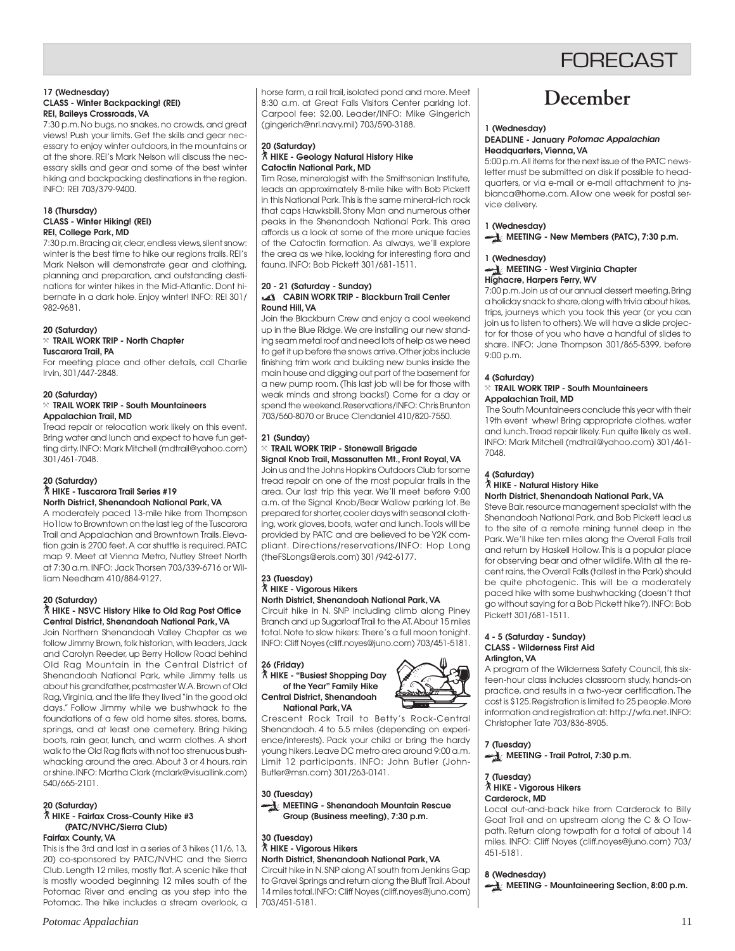# **FORFCAST**

#### **17 (Wednesday) CLASS - Winter Backpacking! (REI) REI, Baileys Crossroads, VA**

7:30 p.m. No bugs, no snakes, no crowds, and great views! Push your limits. Get the skills and gear necessary to enjoy winter outdoors, in the mountains or at the shore. REI's Mark Nelson will discuss the necessary skills and gear and some of the best winter hiking and backpacking destinations in the region. INFO: REI 703/379-9400.

#### **18 (Thursday) CLASS - Winter Hiking! (REI) REI, College Park, MD**

7:30 p.m. Bracing air, clear, endless views, silent snow: winter is the best time to hike our regions trails. REI's Mark Nelson will demonstrate gear and clothing, planning and preparation, and outstanding destinations for winter hikes in the Mid-Atlantic. Dont hibernate in a dark hole. Enjoy winter! INFO: REI 301/ 982-9681.

#### **20 (Saturday)** } **TRAIL WORK TRIP - North Chapter Tuscarora Trail, PA**

For meeting place and other details, call Charlie Irvin, 301/447-2848.

#### **20 (Saturday)** } **TRAIL WORK TRIP - South Mountaineers Appalachian Trail, MD**

Tread repair or relocation work likely on this event. Bring water and lunch and expect to have fun getting dirty. INFO: Mark Mitchell (mdtrail@yahoo.com) 301/461-7048.

## **20 (Saturday)**

#### ` **HIKE - Tuscarora Trail Series #19 North District, Shenandoah National Park, VA**

A moderately paced 13-mile hike from Thompson Ho1low to Browntown on the last leg of the Tuscarora Trail and Appalachian and Browntown Trails. Elevation gain is 2700 feet. A car shuttle is required. PATC map 9. Meet at Vienna Metro, Nutley Street North at 7:30 a.m. INFO: Jack Thorsen 703/339-6716 or William Needham 410/884-9127.

### **20 (Saturday)**

#### ` **HIKE - NSVC History Hike to Old Rag Post Office Central District, Shenandoah National Park, VA**

Join Northern Shenandoah Valley Chapter as we follow Jimmy Brown, folk historian, with leaders, Jack and Carolyn Reeder, up Berry Hollow Road behind Old Rag Mountain in the Central District of Shenandoah National Park, while Jimmy tells us about his grandfather, postmaster W.A. Brown of Old Rag, Virginia, and the life they lived "in the good old days." Follow Jimmy while we bushwhack to the foundations of a few old home sites, stores, barns, springs, and at least one cemetery. Bring hiking boots, rain gear, lunch, and warm clothes. A short walk to the Old Rag flats with not too strenuous bushwhacking around the area. About 3 or 4 hours, rain or shine. INFO: Martha Clark (mclark@visuallink.com) 540/665-2101.

## **20 (Saturday)**

#### ` **HIKE - Fairfax Cross-County Hike #3 (PATC/NVHC/Sierra Club) Fairfax County, VA**

This is the 3rd and last in a series of 3 hikes (11/6, 13, 20) co-sponsored by PATC/NVHC and the Sierra Club. Length 12 miles, mostly flat. A scenic hike that is mostly wooded beginning 12 miles south of the Potomac River and ending as you step into the Potomac. The hike includes a stream overlook, a

horse farm, a rail trail, isolated pond and more. Meet 8:30 a.m. at Great Falls Visitors Center parking lot. Carpool fee: \$2.00. Leader/INFO: Mike Gingerich (gingerich@nrl.navy.mil) 703/590-3188.

### **20 (Saturday)** ` **HIKE - Geology Natural History Hike Catoctin National Park, MD**

Tim Rose, mineralogist with the Smithsonian Institute, leads an approximately 8-mile hike with Bob Pickett in this National Park. This is the same mineral-rich rock that caps Hawksbill, Stony Man and numerous other peaks in the Shenandoah National Park. This area affords us a look at some of the more unique facies of the Catoctin formation. As always, we'll explore the area as we hike, looking for interesting flora and fauna. INFO: Bob Pickett 301/681-1511.

#### **20 - 21 (Saturday - Sunday) CABIN WORK TRIP - Blackburn Trail Center Round Hill, VA**

Join the Blackburn Crew and enjoy a cool weekend up in the Blue Ridge. We are installing our new standing seam metal roof and need lots of help as we need to get it up before the snows arrive. Other jobs include finishing trim work and building new bunks inside the main house and digging out part of the basement for a new pump room. (This last job will be for those with weak minds and strong backs!) Come for a day or spend the weekend. Reservations/INFO: Chris Brunton 703/560-8070 or Bruce Clendaniel 410/820-7550.

### **21 (Sunday)**

#### } **TRAIL WORK TRIP - Stonewall Brigade Signal Knob Trail, Massanutten Mt., Front Royal, VA**

Join us and the Johns Hopkins Outdoors Club for some tread repair on one of the most popular trails in the area. Our last trip this year. We'll meet before 9:00 a.m. at the Signal Knob/Bear Wallow parking lot. Be prepared for shorter, cooler days with seasonal clothing, work gloves, boots, water and lunch. Tools will be provided by PATC and are believed to be Y2K compliant. Directions/reservations/INFO: Hop Long (theFSLongs@erols.com) 301/942-6177.

# **23 (Tuesday)** ` **HIKE - Vigorous Hikers North District, Shenandoah National Park, VA**

Circuit hike in N. SNP including climb along Piney Branch and up Sugarloaf Trail to the AT. About 15 miles total. Note to slow hikers: There's a full moon tonight. INFO: Cliff Noyes (cliff.noyes@juno.com) 703/451-5181.

#### **26 (Friday)** ` **HIKE - "Busiest Shopping Day of the Year" Family Hike Central District, Shenandoah National Park, VA**



Crescent Rock Trail to Betty's Rock-Central Shenandoah. 4 to 5.5 miles (depending on experience/interests). Pack your child or bring the hardy young hikers. Leave DC metro area around 9:00 a.m. Limit 12 participants. INFO: John Butler (John-Butler@msn.com) 301/263-0141.

**30 (Tuesday) MEETING - Shenandoah Mountain Rescue Group (Business meeting), 7:30 p.m.**

#### **30 (Tuesday)** ` **HIKE - Vigorous Hikers North District, Shenandoah National Park, VA**

Circuit hike in N. SNP along AT south from Jenkins Gap to Gravel Springs and return along the Bluff Trail. About 14 miles total. INFO: Cliff Noyes (cliff.noyes@juno.com) 703/451-5181.

# **December**

#### **1 (Wednesday) DEADLINE - January Potomac Appalachian Headquarters, Vienna, VA**

5:00 p.m. All items for the next issue of the PATC newsletter must be submitted on disk if possible to headquarters, or via e-mail or e-mail attachment to jnsbianca@home.com. Allow one week for postal service delivery.

### **1 (Wednesday) MEETING - New Members (PATC), 7:30 p.m.**

## **1 (Wednesday)**

#### **MEETING - West Virginia Chapter Highacre, Harpers Ferry, WV**

7:00 p.m. Join us at our annual dessert meeting. Bring a holiday snack to share, along with trivia about hikes, trips, journeys which you took this year (or you can join us to listen to others). We will have a slide projector for those of you who have a handful of slides to share. INFO: Jane Thompson 301/865-5399, before 9:00 p.m.

### **4 (Saturday)**

#### $\times$  TRAIL WORK TRIP - South Mountaineers **Appalachian Trail, MD**

 The South Mountaineers conclude this year with their 19th event whew! Bring appropriate clothes, water and lunch. Tread repair likely. Fun quite likely as well. INFO: Mark Mitchell (mdtrail@yahoo.com) 301/461- 7048.

## **4 (Saturday)**

## ` **HIKE - Natural History Hike**

## **North District, Shenandoah National Park, VA**

Steve Bair, resource management specialist with the Shenandoah National Park, and Bob Pickett lead us to the site of a remote mining tunnel deep in the Park. We'll hike ten miles along the Overall Falls trail and return by Haskell Hollow. This is a popular place for observing bear and other wildlife. With all the recent rains, the Overall Falls (tallest in the Park) should be quite photogenic. This will be a moderately paced hike with some bushwhacking (doesn't that go without saying for a Bob Pickett hike?). INFO: Bob Pickett 301/681-1511.

#### **4 - 5 (Saturday - Sunday) CLASS - Wilderness First Aid Arlington, VA**

A program of the Wilderness Safety Council, this sixteen-hour class includes classroom study, hands-on practice, and results in a two-year certification. The cost is \$125. Registration is limited to 25 people. More information and registration at: http://wfa.net. INFO: Christopher Tate 703/836-8905.

**7 (Tuesday) MEETING - Trail Patrol, 7:30 p.m.** 

**7 (Tuesday)** ` **HIKE - Vigorous Hikers Carderock, MD**

Local out-and-back hike from Carderock to Billy Goat Trail and on upstream along the C & O Towpath. Return along towpath for a total of about 14 miles. INFO: Cliff Noyes (cliff.noyes@juno.com) 703/ 451-5181.

### **8 (Wednesday)**

**MEETING - Mountaineering Section, 8:00 p.m.**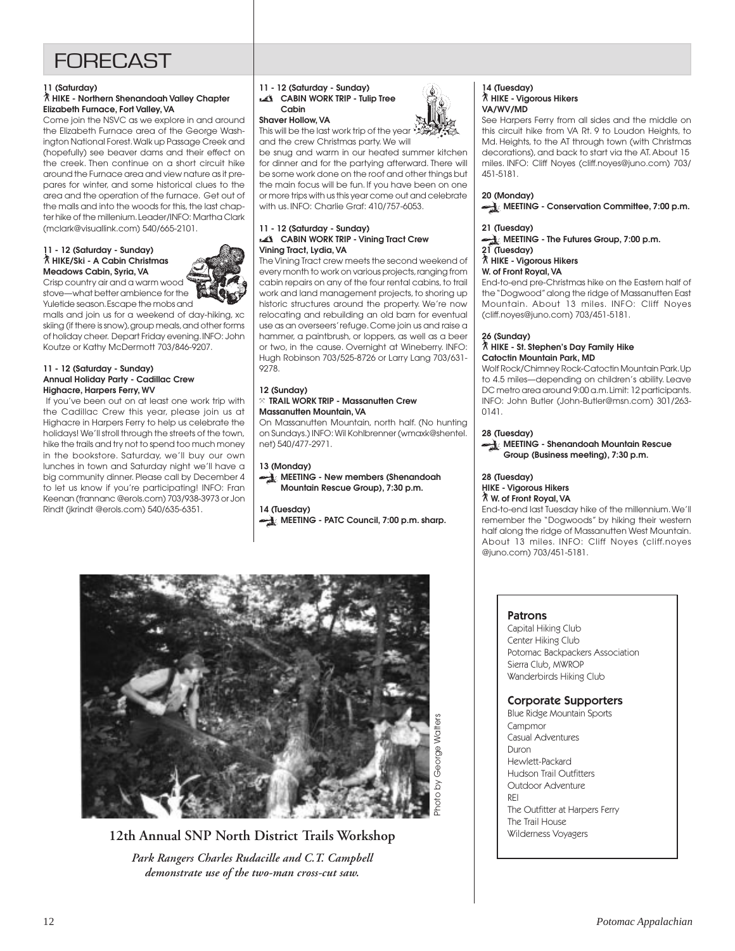# **FORECAST**

### **11 (Saturday)**

### ` **HIKE - Northern Shenandoah Valley Chapter Elizabeth Furnace, Fort Valley, VA**

Come join the NSVC as we explore in and around the Elizabeth Furnace area of the George Washington National Forest. Walk up Passage Creek and (hopefully) see beaver dams and their effect on the creek. Then continue on a short circuit hike around the Furnace area and view nature as it prepares for winter, and some historical clues to the area and the operation of the furnace. Get out of the malls and into the woods for this, the last chapter hike of the millenium. Leader/INFO: Martha Clark (mclark@visuallink.com) 540/665-2101.

#### **11 - 12 (Saturday - Sunday)** ` **HIKE/Ski - A Cabin Christmas Meadows Cabin, Syria, VA** Crisp country air and a warm wood

stove—what better ambience for the

Yuletide season. Escape the mobs and malls and join us for a weekend of day-hiking, xc skiing (if there is snow), group meals, and other forms of holiday cheer. Depart Friday evening. INFO: John Koutze or Kathy McDermott 703/846-9207.

#### **11 - 12 (Saturday - Sunday) Annual Holiday Party - Cadillac Crew Highacre, Harpers Ferry, WV**

 If you've been out on at least one work trip with the Cadillac Crew this year, please join us at Highacre in Harpers Ferry to help us celebrate the holidays! We'll stroll through the streets of the town, hike the trails and try not to spend too much money in the bookstore. Saturday, we'll buy our own lunches in town and Saturday night we'll have a big community dinner. Please call by December 4 to let us know if you're participating! INFO: Fran Keenan (frannanc @erols.com) 703/938-3973 or Jon Rindt (jkrindt @erols.com) 540/635-6351.

#### **11 - 12 (Saturday - Sunday) CABIN WORK TRIP - Tulip Tree**

# **Cabin**

### **Shaver Hollow, VA**

This will be the last work trip of the year and the crew Christmas party. We will

be snug and warm in our heated summer kitchen for dinner and for the partying afterward. There will be some work done on the roof and other things but the main focus will be fun. If you have been on one or more trips with us this year come out and celebrate with us. INFO: Charlie Graf: 410/757-6053.

#### **11 - 12 (Saturday - Sunday) CABIN WORK TRIP - Vining Tract Crew Vining Tract, Lydia, VA**

The Vining Tract crew meets the second weekend of every month to work on various projects, ranging from cabin repairs on any of the four rental cabins, to trail work and land management projects, to shoring up historic structures around the property. We're now relocating and rebuilding an old barn for eventual use as an overseers' refuge. Come join us and raise a hammer, a paintbrush, or loppers, as well as a beer or two, in the cause. Overnight at Wineberry. INFO: Hugh Robinson 703/525-8726 or Larry Lang 703/631- 9278.

#### **12 (Sunday)** } **TRAIL WORK TRIP - Massanutten Crew Massanutten Mountain, VA**

On Massanutten Mountain, north half. (No hunting on Sundays.) INFO: Wil Kohlbrenner (wmaxk@shentel. net) 540/477-2971.

## **13 (Monday)**

**MEETING - New members (Shenandoah Mountain Rescue Group), 7:30 p.m.**

## **14 (Tuesday)**

**MEETING - PATC Council, 7:00 p.m. sharp.** 



# **12th Annual SNP North District Trails Workshop** *Park Rangers Charles Rudacille and C.T. Campbell demonstrate use of the two-man cross-cut saw.*



#### **14 (Tuesday)** ` **HIKE - Vigorous Hikers VA/WV/MD**

See Harpers Ferry from all sides and the middle on this circuit hike from VA Rt. 9 to Loudon Heights, to Md. Heights, to the AT through town (with Christmas decorations), and back to start via the AT. About 15 miles. INFO: Cliff Noyes (cliff.noyes@juno.com) 703/ 451-5181.

## **20 (Monday)**

 **MEETING - Conservation Committee, 7:00 p.m.**

### **21 (Tuesday)**

#### **MEETING - The Futures Group, 7:00 p.m. 21 (Tuesday)**

` **HIKE - Vigorous Hikers**

### **W. of Front Royal, VA**

End-to-end pre-Christmas hike on the Eastern half of the "Dogwood" along the ridge of Massanutten East Mountain. About 13 miles. INFO: Cliff Noyes (cliff.noyes@juno.com) 703/451-5181.

## **26 (Sunday)**

### ` **HIKE - St. Stephen's Day Family Hike Catoctin Mountain Park, MD**

Wolf Rock/Chimney Rock-Catoctin Mountain Park. Up to 4.5 miles—depending on children's ability. Leave DC metro area around 9:00 a.m. Limit: 12 participants. INFO: John Butler (John-Butler@msn.com) 301/263- 0141.

## **28 (Tuesday)**

 **MEETING - Shenandoah Mountain Rescue Group (Business meeting), 7:30 p.m.**

#### **28 (Tuesday) HIKE - Vigorous Hikers**

` **W. of Front Royal, VA**

End-to-end last Tuesday hike of the millennium. We'll remember the "Dogwoods" by hiking their western half along the ridge of Massanutten West Mountain. About 13 miles. INFO: Cliff Noyes (cliff.noyes @juno.com) 703/451-5181.

## Patrons

Capital Hiking Club Center Hiking Club Potomac Backpackers Association Sierra Club, MWROP Wanderbirds Hiking Club

## Corporate Supporters

Blue Ridge Mountain Sports **Campmor** Casual Adventures Duron Hewlett-Packard Hudson Trail Outfitters Outdoor Adventure REI The Outfitter at Harpers Ferry The Trail House Wilderness Voyagers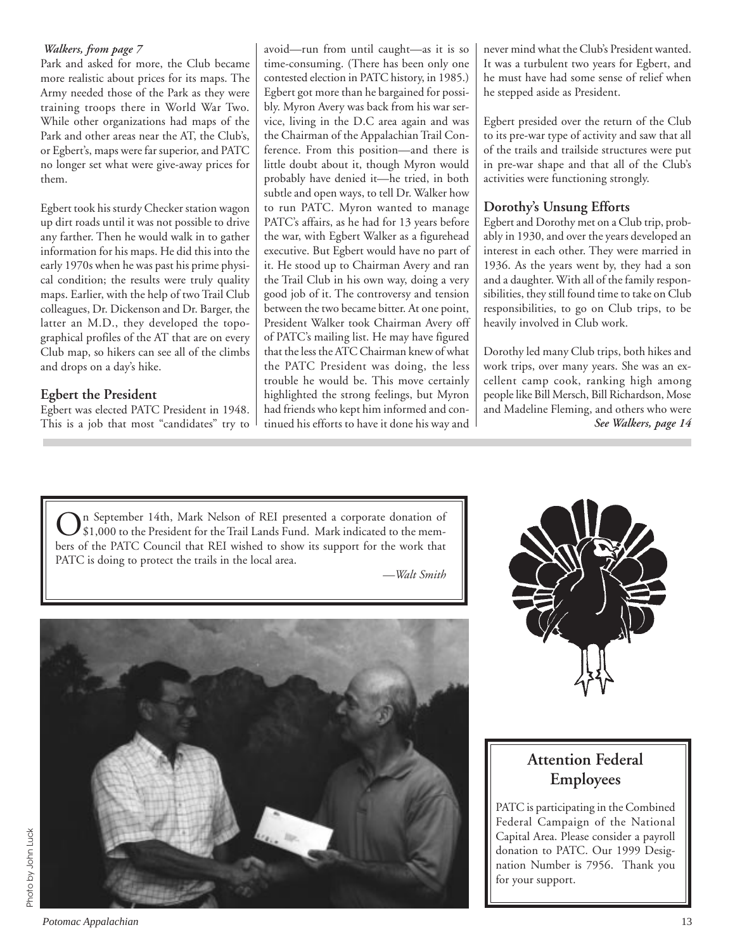## *Walkers, from page 7*

Park and asked for more, the Club became more realistic about prices for its maps. The Army needed those of the Park as they were training troops there in World War Two. While other organizations had maps of the Park and other areas near the AT, the Club's, or Egbert's, maps were far superior, and PATC no longer set what were give-away prices for them.

Egbert took his sturdy Checker station wagon up dirt roads until it was not possible to drive any farther. Then he would walk in to gather information for his maps. He did this into the early 1970s when he was past his prime physical condition; the results were truly quality maps. Earlier, with the help of two Trail Club colleagues, Dr. Dickenson and Dr. Barger, the latter an M.D., they developed the topographical profiles of the AT that are on every Club map, so hikers can see all of the climbs and drops on a day's hike.

# **Egbert the President**

Egbert was elected PATC President in 1948. This is a job that most "candidates" try to avoid—run from until caught—as it is so time-consuming. (There has been only one contested election in PATC history, in 1985.) Egbert got more than he bargained for possibly. Myron Avery was back from his war service, living in the D.C area again and was the Chairman of the Appalachian Trail Conference. From this position—and there is little doubt about it, though Myron would probably have denied it—he tried, in both subtle and open ways, to tell Dr. Walker how to run PATC. Myron wanted to manage PATC's affairs, as he had for 13 years before the war, with Egbert Walker as a figurehead executive. But Egbert would have no part of it. He stood up to Chairman Avery and ran the Trail Club in his own way, doing a very good job of it. The controversy and tension between the two became bitter. At one point, President Walker took Chairman Avery off of PATC's mailing list. He may have figured that the less the ATC Chairman knew of what the PATC President was doing, the less trouble he would be. This move certainly highlighted the strong feelings, but Myron had friends who kept him informed and continued his efforts to have it done his way and

never mind what the Club's President wanted. It was a turbulent two years for Egbert, and he must have had some sense of relief when he stepped aside as President.

Egbert presided over the return of the Club to its pre-war type of activity and saw that all of the trails and trailside structures were put in pre-war shape and that all of the Club's activities were functioning strongly.

# **Dorothy's Unsung Efforts**

Egbert and Dorothy met on a Club trip, probably in 1930, and over the years developed an interest in each other. They were married in 1936. As the years went by, they had a son and a daughter. With all of the family responsibilities, they still found time to take on Club responsibilities, to go on Club trips, to be heavily involved in Club work.

*See Walkers, page 14* Dorothy led many Club trips, both hikes and work trips, over many years. She was an excellent camp cook, ranking high among people like Bill Mersch, Bill Richardson, Mose and Madeline Fleming, and others who were

On September 14th, Mark Nelson of REI presented a corporate donation of \$1,000 to the President for the Trail Lands Fund. Mark indicated to the members of the PATC Council that REI wished to show its support for the work that PATC is doing to protect the trails in the local area.

*—Walt Smith*





# **Attention Federal Employees**

PATC is participating in the Combined Federal Campaign of the National Capital Area. Please consider a payroll donation to PATC. Our 1999 Designation Number is 7956. Thank you for your support.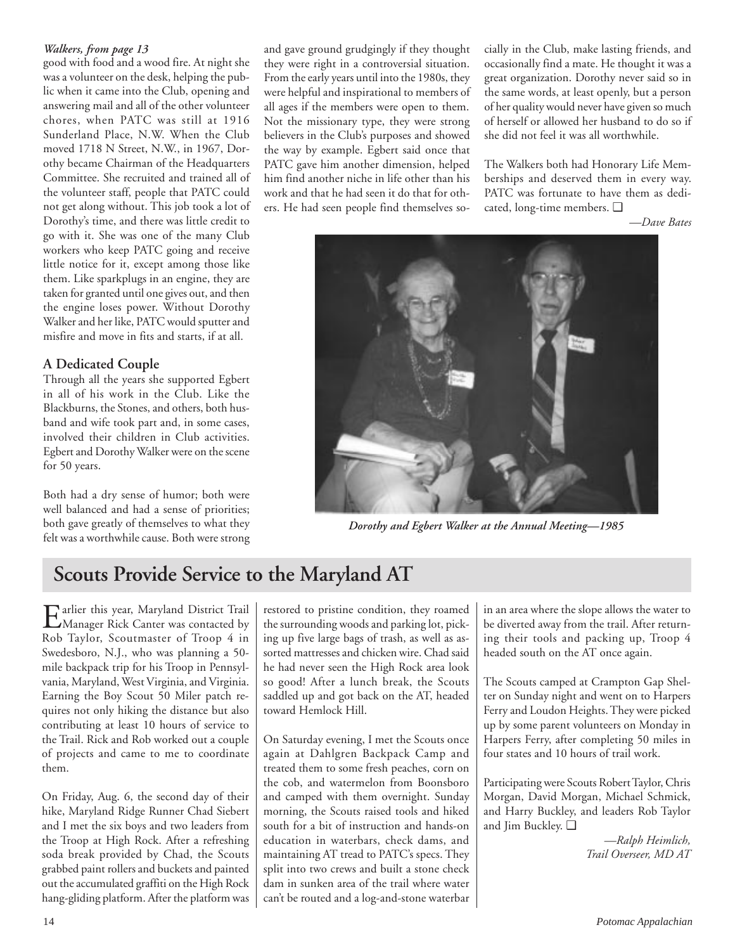## *Walkers, from page 13*

good with food and a wood fire. At night she was a volunteer on the desk, helping the public when it came into the Club, opening and answering mail and all of the other volunteer chores, when PATC was still at 1916 Sunderland Place, N.W. When the Club moved 1718 N Street, N.W., in 1967, Dorothy became Chairman of the Headquarters Committee. She recruited and trained all of the volunteer staff, people that PATC could not get along without. This job took a lot of Dorothy's time, and there was little credit to go with it. She was one of the many Club workers who keep PATC going and receive little notice for it, except among those like them. Like sparkplugs in an engine, they are taken for granted until one gives out, and then the engine loses power. Without Dorothy Walker and her like, PATC would sputter and misfire and move in fits and starts, if at all.

# **A Dedicated Couple**

Through all the years she supported Egbert in all of his work in the Club. Like the Blackburns, the Stones, and others, both husband and wife took part and, in some cases, involved their children in Club activities. Egbert and Dorothy Walker were on the scene for 50 years.

Both had a dry sense of humor; both were well balanced and had a sense of priorities; both gave greatly of themselves to what they felt was a worthwhile cause. Both were strong and gave ground grudgingly if they thought they were right in a controversial situation. From the early years until into the 1980s, they were helpful and inspirational to members of all ages if the members were open to them. Not the missionary type, they were strong believers in the Club's purposes and showed the way by example. Egbert said once that PATC gave him another dimension, helped him find another niche in life other than his work and that he had seen it do that for others. He had seen people find themselves socially in the Club, make lasting friends, and occasionally find a mate. He thought it was a great organization. Dorothy never said so in the same words, at least openly, but a person of her quality would never have given so much of herself or allowed her husband to do so if she did not feel it was all worthwhile.

The Walkers both had Honorary Life Memberships and deserved them in every way. PATC was fortunate to have them as dedicated, long-time members. ❑

*—Dave Bates*



*Dorothy and Egbert Walker at the Annual Meeting—1985*

# **Scouts Provide Service to the Maryland AT**

Earlier this year, Maryland District Trail<br>Manager Rick Canter was contacted by Rob Taylor, Scoutmaster of Troop 4 in Swedesboro, N.J., who was planning a 50 mile backpack trip for his Troop in Pennsylvania, Maryland, West Virginia, and Virginia. Earning the Boy Scout 50 Miler patch requires not only hiking the distance but also contributing at least 10 hours of service to the Trail. Rick and Rob worked out a couple of projects and came to me to coordinate them.

On Friday, Aug. 6, the second day of their hike, Maryland Ridge Runner Chad Siebert and I met the six boys and two leaders from the Troop at High Rock. After a refreshing soda break provided by Chad, the Scouts grabbed paint rollers and buckets and painted out the accumulated graffiti on the High Rock hang-gliding platform. After the platform was

restored to pristine condition, they roamed the surrounding woods and parking lot, picking up five large bags of trash, as well as assorted mattresses and chicken wire. Chad said he had never seen the High Rock area look so good! After a lunch break, the Scouts saddled up and got back on the AT, headed toward Hemlock Hill.

On Saturday evening, I met the Scouts once again at Dahlgren Backpack Camp and treated them to some fresh peaches, corn on the cob, and watermelon from Boonsboro and camped with them overnight. Sunday morning, the Scouts raised tools and hiked south for a bit of instruction and hands-on education in waterbars, check dams, and maintaining AT tread to PATC's specs. They split into two crews and built a stone check dam in sunken area of the trail where water can't be routed and a log-and-stone waterbar in an area where the slope allows the water to be diverted away from the trail. After returning their tools and packing up, Troop 4 headed south on the AT once again.

The Scouts camped at Crampton Gap Shelter on Sunday night and went on to Harpers Ferry and Loudon Heights. They were picked up by some parent volunteers on Monday in Harpers Ferry, after completing 50 miles in four states and 10 hours of trail work.

Participating were Scouts Robert Taylor, Chris Morgan, David Morgan, Michael Schmick, and Harry Buckley, and leaders Rob Taylor and Jim Buckley. ❑

> *—Ralph Heimlich, Trail Overseer, MD AT*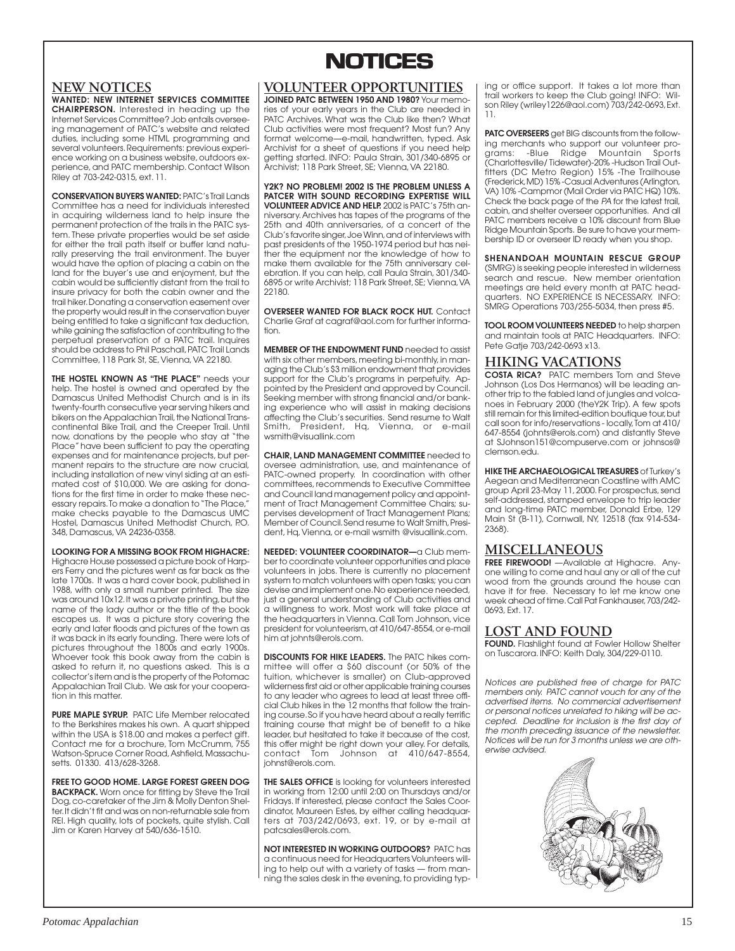## **NEW NOTICES**

**WANTED: NEW INTERNET SERVICES COMMITTEE CHAIRPERSON.** Interested in heading up the Internet Services Committee? Job entails overseeing management of PATC's website and related duties, including some HTML programming and several volunteers. Requirements: previous experience working on a business website, outdoors experience, and PATC membership. Contact Wilson Riley at 703-242-0315, ext. 11.

**CONSERVATION BUYERS WANTED:** PATC's Trail Lands Committee has a need for individuals interested in acquiring wilderness land to help insure the permanent protection of the trails in the PATC system. These private properties would be set aside for either the trail path itself or buffer land naturally preserving the trail environment. The buyer would have the option of placing a cabin on the land for the buyer's use and enjoyment, but the cabin would be sufficiently distant from the trail to insure privacy for both the cabin owner and the trail hiker. Donating a conservation easement over the property would result in the conservation buyer being entitled to take a significant tax deduction, while gaining the satisfaction of contributing to the perpetual preservation of a PATC trail. Inquires should be address to Phil Paschall, PATC Trail Lands Committee, 118 Park St, SE, Vienna, VA 22180.

**THE HOSTEL KNOWN AS "THE PLACE"** needs your help. The hostel is owned and operated by the Damascus United Methodist Church and is in its twenty-fourth consecutive year serving hikers and bikers on the Appalachian Trail, the National Transcontinental Bike Trail, and the Creeper Trail. Until now, donations by the people who stay at "the Place" have been sufficient to pay the operating expenses and for maintenance projects, but permanent repairs to the structure are now crucial, including installation of new vinyl siding at an estimated cost of \$10,000. We are asking for donations for the first time in order to make these necessary repairs. To make a donation to "The Place," make checks payable to the Damascus UMC Hostel, Damascus United Methodist Church, P.O. 348, Damascus, VA 24236-0358.

**LOOKING FOR A MISSING BOOK FROM HIGHACRE:** Highacre House possessed a picture book of Harpers Ferry and the pictures went as far back as the late 1700s. It was a hard cover book, published in 1988, with only a small number printed. The size was around 10x12. It was a private printing, but the name of the lady author or the title of the book escapes us. It was a picture story covering the early and later floods and pictures of the town as it was back in its early founding. There were lots of pictures throughout the 1800s and early 1900s. Whoever took this book away from the cabin is asked to return it, no questions asked. This is a collector's item and is the property of the Potomac Appalachian Trail Club. We ask for your cooperation in this matter.

**PURE MAPLE SYRUP.** PATC Life Member relocated to the Berkshires makes his own. A quart shipped within the USA is \$18.00 and makes a perfect gift. Contact me for a brochure, Tom McCrumm, 755 Watson-Spruce Corner Road, Ashfield, Massachusetts. 01330. 413/628-3268.

**FREE TO GOOD HOME. LARGE FOREST GREEN DOG BACKPACK.** Worn once for fitting by Steve the Trail Dog, co-caretaker of the Jim & Molly Denton Shelter. It didn't fit and was on non-returnable sale from REI. High quality, lots of pockets, quite stylish. Call Jim or Karen Harvey at 540/636-1510.

# **NOTICES NOTICES**

## **VOLUNTEER OPPORTUNITIES**

**JOINED PATC BETWEEN 1950 AND 1980?** Your memories of your early years in the Club are needed in PATC Archives. What was the Club like then? What Club activities were most frequent? Most fun? Any format welcome—e-mail, handwritten, typed. Ask Archivist for a sheet of questions if you need help getting started. INFO: Paula Strain, 301/340-6895 or Archivist; 118 Park Street, SE; Vienna, VA 22180.

**Y2K? NO PROBLEM! 2002 IS THE PROBLEM UNLESS A PATCER WITH SOUND RECORDING EXPERTISE WILL VOLUNTEER ADVICE AND HELP.** 2002 is PATC's 75th anniversary. Archives has tapes of the programs of the 25th and 40th anniversaries, of a concert of the Club's favorite singer, Joe Winn, and of interviews with past presidents of the 1950-1974 period but has nei-.<br>ther the equipment nor the knowledge of how to make them available for the 75th anniversary celebration. If you can help, call Paula Strain, 301/340- 6895 or write Archivist; 118 Park Street, SE; Vienna, VA 22180.

**OVERSEER WANTED FOR BLACK ROCK HUT.** Contact Charlie Graf at cagraf@aol.com for further information.

**MEMBER OF THE ENDOWMENT FUND** needed to assist with six other members, meeting bi-monthly, in managing the Club's \$3 million endowment that provides support for the Club's programs in perpetuity. Appointed by the President and approved by Council. Seeking member with strong financial and/or banking experience who will assist in making decisions affecting the Club's securities. Send resume to Walt President, Hq, Vienna, or e-mail smith, President,<br>wsmith@visuallink.com

**CHAIR, LAND MANAGEMENT COMMITTEE** needed to oversee administration, use, and maintenance of PATC-owned property. In coordination with other committees, recommends to Executive Committee and Council land management policy and appointment of Tract Management Committee Chairs; supervises development of Tract Management Plans; Member of Council. Send resume to Walt Smith, President, Hq, Vienna, or e-mail wsmith @visuallink.com.

**NEEDED: VOLUNTEER COORDINATOR—**a Club member to coordinate volunteer opportunities and place volunteers in jobs. There is currently no placement system to match volunteers with open tasks; you can devise and implement one. No experience needed, just a general understanding of Club activities and a willingness to work. Most work will take place at the headquarters in Vienna. Call Tom Johnson, vice president for volunteerism, at 410/647-8554, or e-mail him at johnts@erols.com.

**DISCOUNTS FOR HIKE LEADERS.** The PATC hikes committee will offer a \$60 discount (or 50% of the tuition, whichever is smaller) on Club-approved wilderness first aid or other applicable training courses to any leader who agrees to lead at least three official Club hikes in the 12 months that follow the training course. So if you have heard about a really terrific training course that might be of benefit to a hike leader, but hesitated to take it because of the cost, this offer might be right down your alley. For details, contact Tom Johnson at 410/647-8554, johnst@erols.com.

**THE SALES OFFICE** is looking for volunteers interested in working from 12:00 until 2:00 on Thursdays and/or Fridays. If interested, please contact the Sales Coordinator, Maureen Estes, by either calling headquarters at 703/242/0693, ext. 19, or by e-mail at patcsales@erols.com.

**NOT INTERESTED IN WORKING OUTDOORS?** PATC has a continuous need for Headquarters Volunteers willing to help out with a variety of tasks — from manning the sales desk in the evening, to providing typing or office support. It takes a lot more than trail workers to keep the Club going! INFO: Wilson Riley (wriley1226@aol.com) 703/242-0693, Ext. 11.

**PATC OVERSEERS** get BIG discounts from the following merchants who support our volunteer pro--Blue Ridge Mountain (Charlottesville/ Tidewater)-20% -Hudson Trail Outfitters (DC Metro Region) 15% -The Trailhouse (Frederick, MD) 15% -Casual Adventures (Arlington, VA) 10% -Campmor (Mail Order via PATC HQ) 10%. Check the back page of the PA for the latest trail, cabin, and shelter overseer opportunities. And all PATC members receive a 10% discount from Blue Ridge Mountain Sports. Be sure to have your membership ID or overseer ID ready when you shop.

**SHENANDOAH MOUNTAIN RESCUE GROUP** (SMRG) is seeking people interested in wilderness search and rescue. New member orientation meetings are held every month at PATC head-quarters. NO EXPERIENCE IS NECESSARY. INFO: SMRG Operations 703/255-5034, then press #5.

**TOOL ROOM VOLUNTEERS NEEDED** to help sharpen and maintain tools at PATC Headquarters. INFO: Pete Gatje 703/242-0693 x13.

# **HIKING VACATIONS**

**COSTA RICA?** PATC members Tom and Steve Johnson (Los Dos Hermanos) will be leading another trip to the fabled land of jungles and volcanoes in February 2000 (theY2K Trip). A few spots still remain for this limited-edition boutique tour, but call soon for info/reservations - locally, Tom at 410/ 647-8554 (johnts@erols.com) and distantly Steve at SJohnson151@compuserve.com or johnsos@ clemson.edu.

**HIKE THE ARCHAEOLOGICAL TREASURES** of Turkey's Aegean and Mediterranean Coastline with AMC group April 23-May 11, 2000. For prospectus, send self-addressed, stamped envelope to trip leader and long-time PATC member, Donald Erbe, 129 Main St (B-11), Cornwall, NY, 12518 (fax 914-534- 2368).

## **MISCELLANEOUS**

**FREE FIREWOOD!** —Available at Highacre. Anyone willing to come and haul any or all of the cut wood from the grounds around the house can have it for free. Necessary to let me know one week ahead of time. Call Pat Fankhauser, 703/242- 0693, Ext. 17.

# **LOST AND FOUND**

**FOUND.** Flashlight found at Fowler Hollow Shelter<br>on Tuscarora. INFO: Keith Daly, 304/229-0110.

Notices are published free of charge for PATC members only. PATC cannot vouch for any of the advertised items. No commercial advertisement or personal notices unrelated to hiking will be accepted. Deadline for inclusion is the first day of the month preceding issuance of the newsletter. Notices will be run for 3 months unless we are otherwise advised.

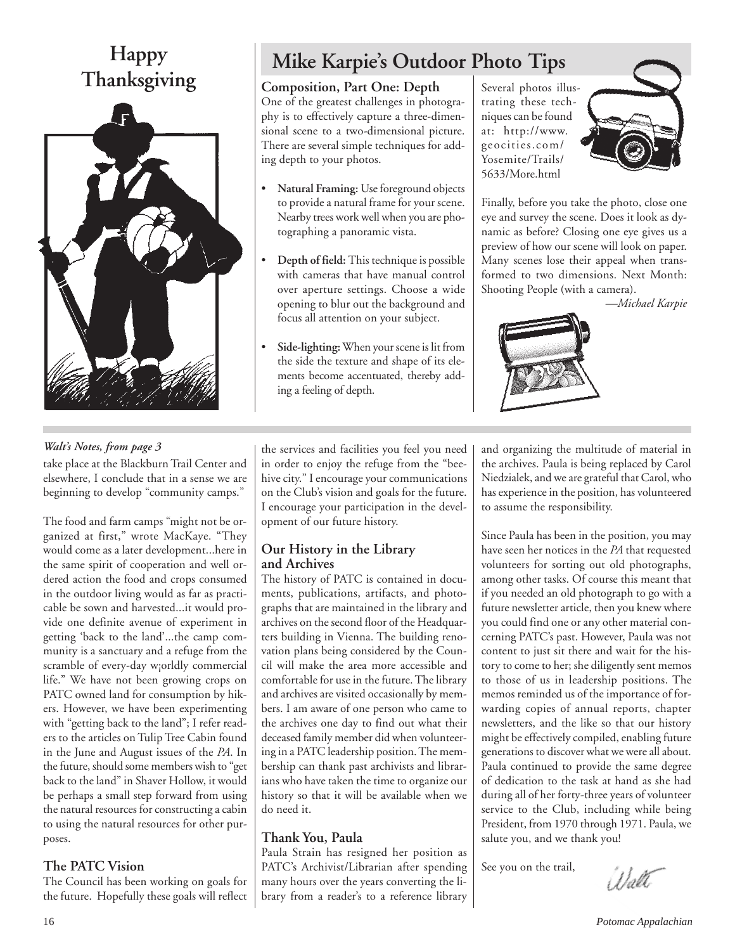# **Happy Thanksgiving**



# **Mike Karpie's Outdoor Photo Tips**

# **Composition, Part One: Depth**

One of the greatest challenges in photography is to effectively capture a three-dimensional scene to a two-dimensional picture. There are several simple techniques for adding depth to your photos.

- **Natural Framing:** Use foreground objects to provide a natural frame for your scene. Nearby trees work well when you are photographing a panoramic vista.
- **Depth of field:** This technique is possible with cameras that have manual control over aperture settings. Choose a wide opening to blur out the background and focus all attention on your subject.
- **Side-lighting:** When your scene is lit from the side the texture and shape of its elements become accentuated, thereby adding a feeling of depth.

Several photos illustrating these techniques can be found at: http://www. geocities.com/ Yosemite/Trails/ 5633/More.html



Finally, before you take the photo, close one eye and survey the scene. Does it look as dynamic as before? Closing one eye gives us a preview of how our scene will look on paper. Many scenes lose their appeal when transformed to two dimensions. Next Month: Shooting People (with a camera).

*—Michael Karpie*



# *Walt's Notes, from page 3*

take place at the Blackburn Trail Center and elsewhere, I conclude that in a sense we are beginning to develop "community camps."

The food and farm camps "might not be organized at first," wrote MacKaye. "They would come as a later development...here in the same spirit of cooperation and well ordered action the food and crops consumed in the outdoor living would as far as practicable be sown and harvested...it would provide one definite avenue of experiment in getting 'back to the land'...the camp community is a sanctuary and a refuge from the scramble of every-day w¡orldly commercial life." We have not been growing crops on PATC owned land for consumption by hikers. However, we have been experimenting with "getting back to the land"; I refer readers to the articles on Tulip Tree Cabin found in the June and August issues of the *PA*. In the future, should some members wish to "get back to the land" in Shaver Hollow, it would be perhaps a small step forward from using the natural resources for constructing a cabin to using the natural resources for other purposes.

# **The PATC Vision**

The Council has been working on goals for the future. Hopefully these goals will reflect the services and facilities you feel you need in order to enjoy the refuge from the "beehive city." I encourage your communications on the Club's vision and goals for the future. I encourage your participation in the development of our future history.

# **Our History in the Library and Archives**

The history of PATC is contained in documents, publications, artifacts, and photographs that are maintained in the library and archives on the second floor of the Headquarters building in Vienna. The building renovation plans being considered by the Council will make the area more accessible and comfortable for use in the future. The library and archives are visited occasionally by members. I am aware of one person who came to the archives one day to find out what their deceased family member did when volunteering in a PATC leadership position. The membership can thank past archivists and librarians who have taken the time to organize our history so that it will be available when we do need it.

# **Thank You, Paula**

Paula Strain has resigned her position as PATC's Archivist/Librarian after spending many hours over the years converting the library from a reader's to a reference library and organizing the multitude of material in the archives. Paula is being replaced by Carol Niedzialek, and we are grateful that Carol, who has experience in the position, has volunteered to assume the responsibility.

Since Paula has been in the position, you may have seen her notices in the *PA* that requested volunteers for sorting out old photographs, among other tasks. Of course this meant that if you needed an old photograph to go with a future newsletter article, then you knew where you could find one or any other material concerning PATC's past. However, Paula was not content to just sit there and wait for the history to come to her; she diligently sent memos to those of us in leadership positions. The memos reminded us of the importance of forwarding copies of annual reports, chapter newsletters, and the like so that our history might be effectively compiled, enabling future generations to discover what we were all about. Paula continued to provide the same degree of dedication to the task at hand as she had during all of her forty-three years of volunteer service to the Club, including while being President, from 1970 through 1971. Paula, we salute you, and we thank you!

See you on the trail,

Walt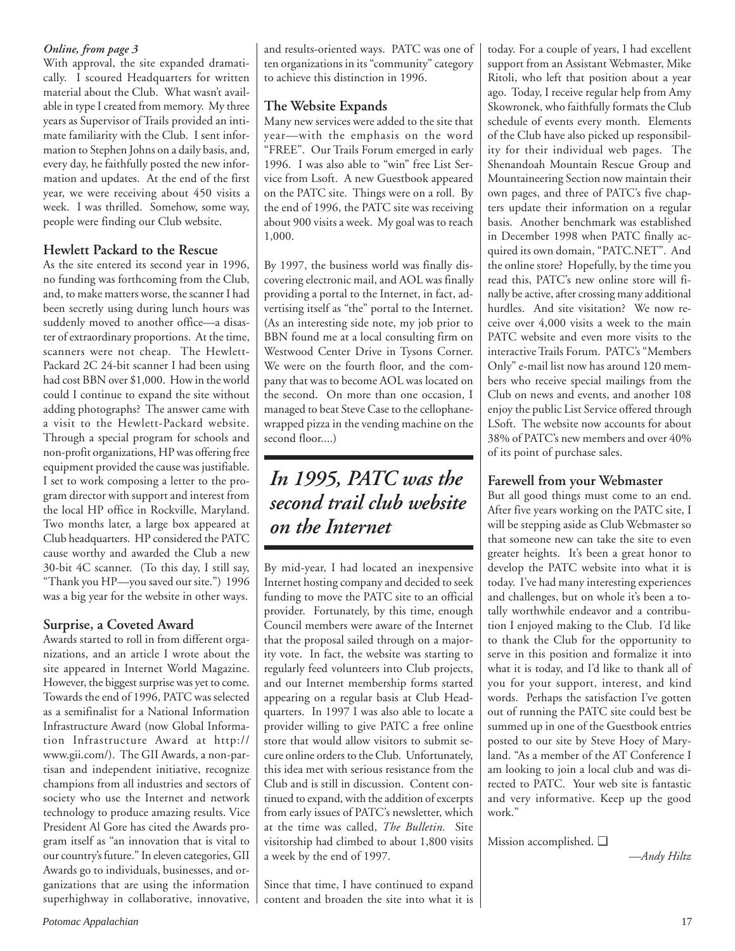## *Online, from page 3*

With approval, the site expanded dramatically. I scoured Headquarters for written material about the Club. What wasn't available in type I created from memory. My three years as Supervisor of Trails provided an intimate familiarity with the Club. I sent information to Stephen Johns on a daily basis, and, every day, he faithfully posted the new information and updates. At the end of the first year, we were receiving about 450 visits a week. I was thrilled. Somehow, some way, people were finding our Club website.

# **Hewlett Packard to the Rescue**

As the site entered its second year in 1996, no funding was forthcoming from the Club, and, to make matters worse, the scanner I had been secretly using during lunch hours was suddenly moved to another office—a disaster of extraordinary proportions. At the time, scanners were not cheap. The Hewlett-Packard 2C 24-bit scanner I had been using had cost BBN over \$1,000. How in the world could I continue to expand the site without adding photographs? The answer came with a visit to the Hewlett-Packard website. Through a special program for schools and non-profit organizations, HP was offering free equipment provided the cause was justifiable. I set to work composing a letter to the program director with support and interest from the local HP office in Rockville, Maryland. Two months later, a large box appeared at Club headquarters. HP considered the PATC cause worthy and awarded the Club a new 30-bit 4C scanner. (To this day, I still say, "Thank you HP—you saved our site.") 1996 was a big year for the website in other ways.

# **Surprise, a Coveted Award**

Awards started to roll in from different organizations, and an article I wrote about the site appeared in Internet World Magazine. However, the biggest surprise was yet to come. Towards the end of 1996, PATC was selected as a semifinalist for a National Information Infrastructure Award (now Global Information Infrastructure Award at http:// www.gii.com/). The GII Awards, a non-partisan and independent initiative, recognize champions from all industries and sectors of society who use the Internet and network technology to produce amazing results. Vice President Al Gore has cited the Awards program itself as "an innovation that is vital to our country's future." In eleven categories, GII Awards go to individuals, businesses, and organizations that are using the information superhighway in collaborative, innovative, and results-oriented ways. PATC was one of ten organizations in its "community" category to achieve this distinction in 1996.

# **The Website Expands**

Many new services were added to the site that year—with the emphasis on the word "FREE". Our Trails Forum emerged in early 1996. I was also able to "win" free List Service from Lsoft. A new Guestbook appeared on the PATC site. Things were on a roll. By the end of 1996, the PATC site was receiving about 900 visits a week. My goal was to reach 1,000.

By 1997, the business world was finally discovering electronic mail, and AOL was finally providing a portal to the Internet, in fact, advertising itself as "the" portal to the Internet. (As an interesting side note, my job prior to BBN found me at a local consulting firm on Westwood Center Drive in Tysons Corner. We were on the fourth floor, and the company that was to become AOL was located on the second. On more than one occasion, I managed to beat Steve Case to the cellophanewrapped pizza in the vending machine on the second floor....)

# *In 1995, PATC was the second trail club website on the Internet*

By mid-year, I had located an inexpensive Internet hosting company and decided to seek funding to move the PATC site to an official provider. Fortunately, by this time, enough Council members were aware of the Internet that the proposal sailed through on a majority vote. In fact, the website was starting to regularly feed volunteers into Club projects, and our Internet membership forms started appearing on a regular basis at Club Headquarters. In 1997 I was also able to locate a provider willing to give PATC a free online store that would allow visitors to submit secure online orders to the Club. Unfortunately, this idea met with serious resistance from the Club and is still in discussion. Content continued to expand, with the addition of excerpts from early issues of PATC's newsletter, which at the time was called, *The Bulletin.* Site visitorship had climbed to about 1,800 visits a week by the end of 1997.

Since that time, I have continued to expand content and broaden the site into what it is today. For a couple of years, I had excellent support from an Assistant Webmaster, Mike Ritoli, who left that position about a year ago. Today, I receive regular help from Amy Skowronek, who faithfully formats the Club schedule of events every month. Elements of the Club have also picked up responsibility for their individual web pages. The Shenandoah Mountain Rescue Group and Mountaineering Section now maintain their own pages, and three of PATC's five chapters update their information on a regular basis. Another benchmark was established in December 1998 when PATC finally acquired its own domain, "PATC.NET". And the online store? Hopefully, by the time you read this, PATC's new online store will finally be active, after crossing many additional hurdles. And site visitation? We now receive over 4,000 visits a week to the main PATC website and even more visits to the interactive Trails Forum. PATC's "Members Only" e-mail list now has around 120 members who receive special mailings from the Club on news and events, and another 108 enjoy the public List Service offered through LSoft. The website now accounts for about 38% of PATC's new members and over 40% of its point of purchase sales.

# **Farewell from your Webmaster**

But all good things must come to an end. After five years working on the PATC site, I will be stepping aside as Club Webmaster so that someone new can take the site to even greater heights. It's been a great honor to develop the PATC website into what it is today. I've had many interesting experiences and challenges, but on whole it's been a totally worthwhile endeavor and a contribution I enjoyed making to the Club. I'd like to thank the Club for the opportunity to serve in this position and formalize it into what it is today, and I'd like to thank all of you for your support, interest, and kind words. Perhaps the satisfaction I've gotten out of running the PATC site could best be summed up in one of the Guestbook entries posted to our site by Steve Hoey of Maryland. "As a member of the AT Conference I am looking to join a local club and was directed to PATC. Your web site is fantastic and very informative. Keep up the good work."

Mission accomplished. ❑

*—Andy Hiltz*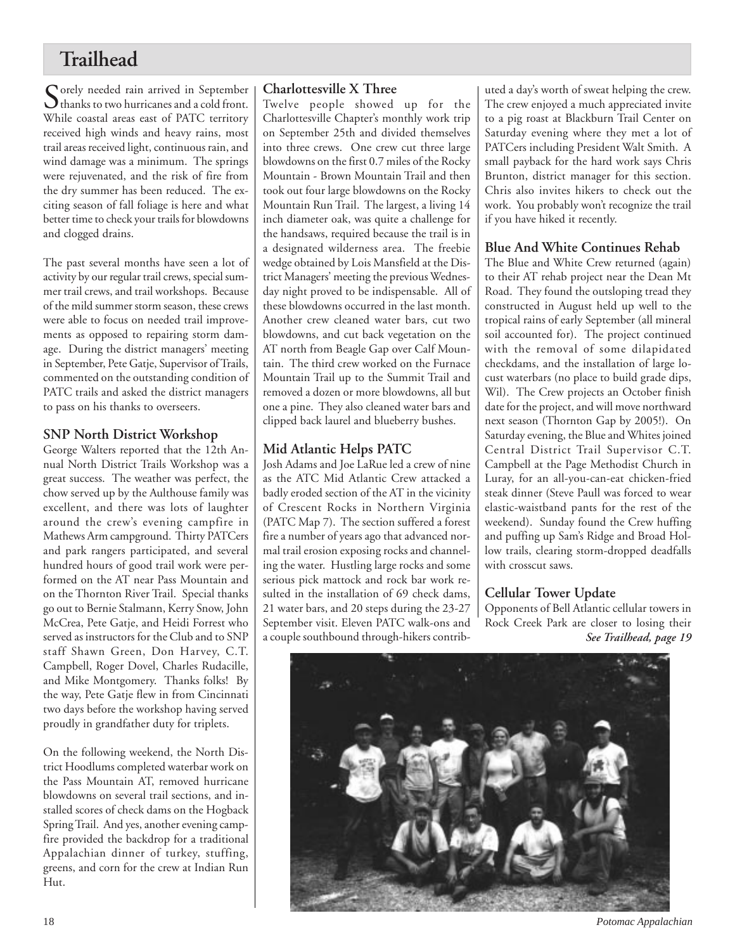# **Trailhead**

Sorely needed rain arrived in September<br>thanks to two hurricanes and a cold front. While coastal areas east of PATC territory received high winds and heavy rains, most trail areas received light, continuous rain, and wind damage was a minimum. The springs were rejuvenated, and the risk of fire from the dry summer has been reduced. The exciting season of fall foliage is here and what better time to check your trails for blowdowns and clogged drains.

The past several months have seen a lot of activity by our regular trail crews, special summer trail crews, and trail workshops. Because of the mild summer storm season, these crews were able to focus on needed trail improvements as opposed to repairing storm damage. During the district managers' meeting in September, Pete Gatje, Supervisor of Trails, commented on the outstanding condition of PATC trails and asked the district managers to pass on his thanks to overseers.

# **SNP North District Workshop**

George Walters reported that the 12th Annual North District Trails Workshop was a great success. The weather was perfect, the chow served up by the Aulthouse family was excellent, and there was lots of laughter around the crew's evening campfire in Mathews Arm campground. Thirty PATCers and park rangers participated, and several hundred hours of good trail work were performed on the AT near Pass Mountain and on the Thornton River Trail. Special thanks go out to Bernie Stalmann, Kerry Snow, John McCrea, Pete Gatje, and Heidi Forrest who served as instructors for the Club and to SNP staff Shawn Green, Don Harvey, C.T. Campbell, Roger Dovel, Charles Rudacille, and Mike Montgomery. Thanks folks! By the way, Pete Gatje flew in from Cincinnati two days before the workshop having served proudly in grandfather duty for triplets.

On the following weekend, the North District Hoodlums completed waterbar work on the Pass Mountain AT, removed hurricane blowdowns on several trail sections, and installed scores of check dams on the Hogback Spring Trail. And yes, another evening campfire provided the backdrop for a traditional Appalachian dinner of turkey, stuffing, greens, and corn for the crew at Indian Run Hut.

# **Charlottesville X Three**

Twelve people showed up for the Charlottesville Chapter's monthly work trip on September 25th and divided themselves into three crews. One crew cut three large blowdowns on the first 0.7 miles of the Rocky Mountain - Brown Mountain Trail and then took out four large blowdowns on the Rocky Mountain Run Trail. The largest, a living 14 inch diameter oak, was quite a challenge for the handsaws, required because the trail is in a designated wilderness area. The freebie wedge obtained by Lois Mansfield at the District Managers' meeting the previous Wednesday night proved to be indispensable. All of these blowdowns occurred in the last month. Another crew cleaned water bars, cut two blowdowns, and cut back vegetation on the AT north from Beagle Gap over Calf Mountain. The third crew worked on the Furnace Mountain Trail up to the Summit Trail and removed a dozen or more blowdowns, all but one a pine. They also cleaned water bars and clipped back laurel and blueberry bushes.

# **Mid Atlantic Helps PATC**

Josh Adams and Joe LaRue led a crew of nine as the ATC Mid Atlantic Crew attacked a badly eroded section of the AT in the vicinity of Crescent Rocks in Northern Virginia (PATC Map 7). The section suffered a forest fire a number of years ago that advanced normal trail erosion exposing rocks and channeling the water. Hustling large rocks and some serious pick mattock and rock bar work resulted in the installation of 69 check dams, 21 water bars, and 20 steps during the 23-27 September visit. Eleven PATC walk-ons and a couple southbound through-hikers contributed a day's worth of sweat helping the crew. The crew enjoyed a much appreciated invite to a pig roast at Blackburn Trail Center on Saturday evening where they met a lot of PATCers including President Walt Smith. A small payback for the hard work says Chris Brunton, district manager for this section. Chris also invites hikers to check out the work. You probably won't recognize the trail if you have hiked it recently.

# **Blue And White Continues Rehab**

The Blue and White Crew returned (again) to their AT rehab project near the Dean Mt Road. They found the outsloping tread they constructed in August held up well to the tropical rains of early September (all mineral soil accounted for). The project continued with the removal of some dilapidated checkdams, and the installation of large locust waterbars (no place to build grade dips, Wil). The Crew projects an October finish date for the project, and will move northward next season (Thornton Gap by 2005!). On Saturday evening, the Blue and Whites joined Central District Trail Supervisor C.T. Campbell at the Page Methodist Church in Luray, for an all-you-can-eat chicken-fried steak dinner (Steve Paull was forced to wear elastic-waistband pants for the rest of the weekend). Sunday found the Crew huffing and puffing up Sam's Ridge and Broad Hollow trails, clearing storm-dropped deadfalls with crosscut saws.

# **Cellular Tower Update**

Opponents of Bell Atlantic cellular towers in Rock Creek Park are closer to losing their *See Trailhead, page 19*



18 *Potomac Appalachian*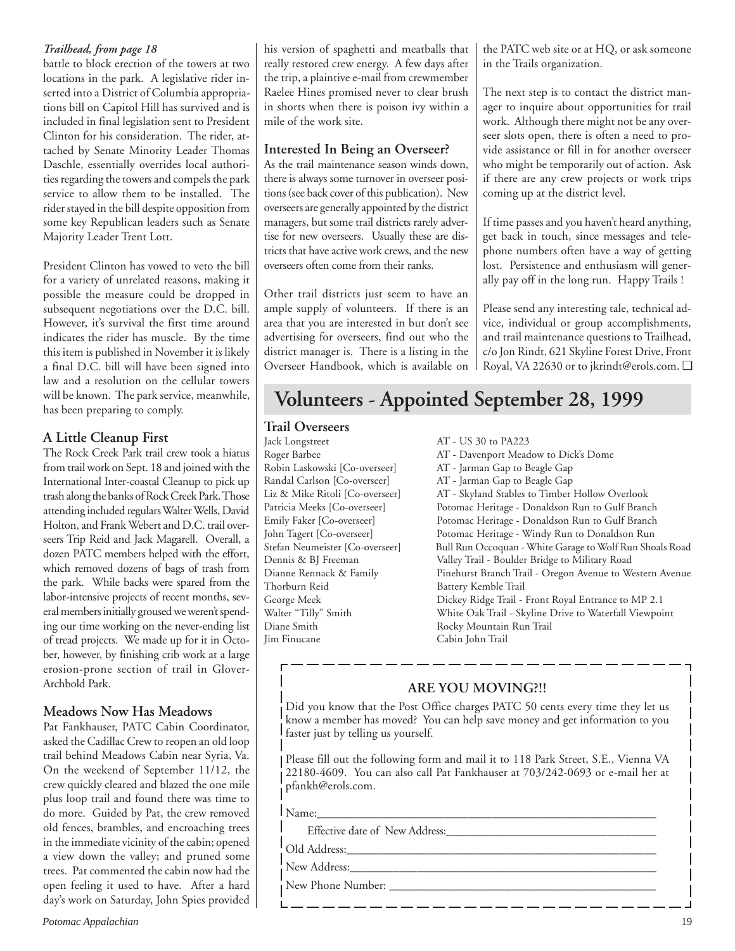## *Trailhead, from page 18*

battle to block erection of the towers at two locations in the park. A legislative rider inserted into a District of Columbia appropriations bill on Capitol Hill has survived and is included in final legislation sent to President Clinton for his consideration. The rider, attached by Senate Minority Leader Thomas Daschle, essentially overrides local authorities regarding the towers and compels the park service to allow them to be installed. The rider stayed in the bill despite opposition from some key Republican leaders such as Senate Majority Leader Trent Lott.

President Clinton has vowed to veto the bill for a variety of unrelated reasons, making it possible the measure could be dropped in subsequent negotiations over the D.C. bill. However, it's survival the first time around indicates the rider has muscle. By the time this item is published in November it is likely a final D.C. bill will have been signed into law and a resolution on the cellular towers will be known. The park service, meanwhile, has been preparing to comply.

# **A Little Cleanup First**

The Rock Creek Park trail crew took a hiatus from trail work on Sept. 18 and joined with the International Inter-coastal Cleanup to pick up trash along the banks of Rock Creek Park. Those attending included regulars Walter Wells, David Holton, and Frank Webert and D.C. trail overseers Trip Reid and Jack Magarell. Overall, a dozen PATC members helped with the effort, which removed dozens of bags of trash from the park. While backs were spared from the labor-intensive projects of recent months, several members initially groused we weren't spending our time working on the never-ending list of tread projects. We made up for it in October, however, by finishing crib work at a large erosion-prone section of trail in Glover-Archbold Park.

# **Meadows Now Has Meadows**

Pat Fankhauser, PATC Cabin Coordinator, asked the Cadillac Crew to reopen an old loop trail behind Meadows Cabin near Syria, Va. On the weekend of September 11/12, the crew quickly cleared and blazed the one mile plus loop trail and found there was time to do more. Guided by Pat, the crew removed old fences, brambles, and encroaching trees in the immediate vicinity of the cabin; opened a view down the valley; and pruned some trees. Pat commented the cabin now had the open feeling it used to have. After a hard day's work on Saturday, John Spies provided his version of spaghetti and meatballs that really restored crew energy. A few days after the trip, a plaintive e-mail from crewmember Raelee Hines promised never to clear brush in shorts when there is poison ivy within a mile of the work site.

## **Interested In Being an Overseer?**

As the trail maintenance season winds down, there is always some turnover in overseer positions (see back cover of this publication). New overseers are generally appointed by the district managers, but some trail districts rarely advertise for new overseers. Usually these are districts that have active work crews, and the new overseers often come from their ranks.

Other trail districts just seem to have an ample supply of volunteers. If there is an area that you are interested in but don't see advertising for overseers, find out who the district manager is. There is a listing in the Overseer Handbook, which is available on the PATC web site or at HQ, or ask someone in the Trails organization.

The next step is to contact the district manager to inquire about opportunities for trail work. Although there might not be any overseer slots open, there is often a need to provide assistance or fill in for another overseer who might be temporarily out of action. Ask if there are any crew projects or work trips coming up at the district level.

If time passes and you haven't heard anything, get back in touch, since messages and telephone numbers often have a way of getting lost. Persistence and enthusiasm will generally pay off in the long run. Happy Trails !

Please send any interesting tale, technical advice, individual or group accomplishments, and trail maintenance questions to Trailhead, c/o Jon Rindt, 621 Skyline Forest Drive, Front Royal, VA 22630 or to jkrindt@erols.com. ❑

# **Volunteers - Appointed September 28, 1999**

# **Trail Overseers**

Jack Longstreet AT - US 30 to PA223 Robin Laskowski [Co-overseer] AT - Jarman Gap to Beagle Gap Randal Carlson [Co-overseer] AT - Jarman Gap to Beagle Gap<br>Liz & Mike Ritoli [Co-overseer] AT - Skyland Stables to Timber ] Thorburn Reid Battery Kemble Trail Jim Finucane Cabin John Trail

AT - Davenport Meadow to Dick's Dome AT - Skyland Stables to Timber Hollow Overlook Patricia Meeks [Co-overseer] Potomac Heritage - Donaldson Run to Gulf Branch Emily Faker [Co-overseer] Potomac Heritage - Donaldson Run to Gulf Branch<br>John Tagert [Co-overseer] Potomac Heritage - Windy Run to Donaldson Run Potomac Heritage - Windy Run to Donaldson Run Stefan Neumeister [Co-overseer] Bull Run Occoquan - White Garage to Wolf Run Shoals Road Dennis & BJ Freeman Valley Trail - Boulder Bridge to Military Road Pinehurst Branch Trail - Oregon Avenue to Western Avenue George Meek Dickey Ridge Trail - Front Royal Entrance to MP 2.1 Walter "Tilly" Smith White Oak Trail - Skyline Drive to Waterfall Viewpoint Rocky Mountain Run Trail

# **ARE YOU MOVING?!!**

Did you know that the Post Office charges PATC 50 cents every time they let us know a member has moved? You can help save money and get information to you faster just by telling us yourself.

Please fill out the following form and mail it to 118 Park Street, S.E., Vienna VA 22180-4609. You can also call Pat Fankhauser at 703/242-0693 or e-mail her at pfankh@erols.com.

<u> 1968 - 1969 - 1969 - 1969 - 1969 - 1969 - 1969 - 1969 - 1969 - 1969 - 1969 - 1969 - 1969 - 1969 - 1969 - 196</u>

Name:\_\_\_\_\_\_\_\_\_\_\_\_\_\_\_\_\_\_\_\_\_\_\_\_\_\_\_\_\_\_\_\_\_\_\_\_\_\_\_\_\_\_\_\_\_\_\_\_\_\_\_\_\_\_\_\_\_

Effective date of New Address:

Old Address:\_\_\_\_\_\_\_\_\_\_\_\_\_\_\_\_\_\_\_\_\_\_\_\_\_\_\_\_\_\_\_\_\_\_\_\_\_\_\_\_\_\_\_\_\_\_\_\_\_\_\_\_ New Address:\_\_\_\_\_\_\_\_\_\_\_\_\_\_\_\_\_\_\_\_\_\_\_\_\_\_\_\_\_\_\_\_\_\_\_\_\_\_\_\_\_\_\_\_\_\_\_\_\_\_\_

New Phone Number: \_\_\_\_\_\_\_\_\_\_\_\_\_\_\_\_\_\_\_\_\_\_\_\_\_\_\_\_\_\_\_\_\_\_\_\_\_\_\_\_\_\_\_\_